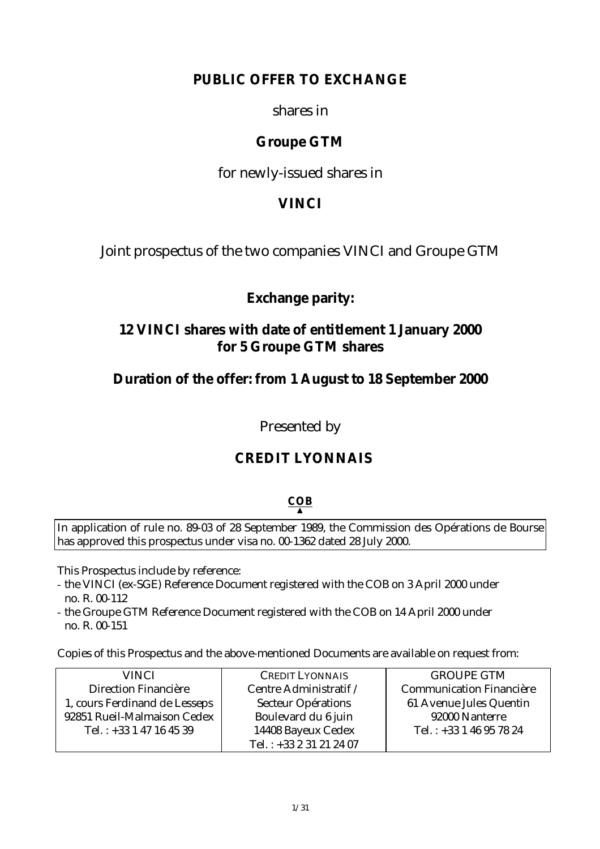# **PUBLIC OFFER TO EXCHANGE**

## shares in

# **Groupe GTM**

for newly-issued shares in

# **VINCI**

Joint prospectus of the two companies VINCI and Groupe GTM

# **Exchange parity:**

# **12 VINCI shares with date of entitlement 1 January 2000 for 5 Groupe GTM shares**

# **Duration of the offer: from 1 August to 18 September 2000**

Presented by

# **CREDIT LYONNAIS**

# **COB** ▲

In application of rule no. 89-03 of 28 September 1989, the Commission des Opérations de Bourse has approved this prospectus under visa no. 00-1362 dated 28 July 2000.

This Prospectus include by reference:

- the VINCI (ex-SGE) Reference Document registered with the COB on 3 April 2000 under no. R. 00-112
- the Groupe GTM Reference Document registered with the COB on 14 April 2000 under no. R. 00-151

Copies of this Prospectus and the above-mentioned Documents are available on request from:

| <b>VINCI</b>                  | <b>CREDIT LYONNAIS</b>    | <b>GROUPE GTM</b>               |
|-------------------------------|---------------------------|---------------------------------|
| Direction Financière          | Centre Administratif /    | <b>Communication Financière</b> |
| 1, cours Ferdinand de Lesseps | <b>Secteur Opérations</b> | 61 Avenue Jules Quentin         |
| 92851 Rueil-Malmaison Cedex   | Boulevard du 6 juin       | 92000 Nanterre                  |
| Tel.: $+33$ 1 47 16 45 39     | 14408 Bayeux Cedex        | Tel.: $+33146957824$            |
|                               | Tel.: $+33231212407$      |                                 |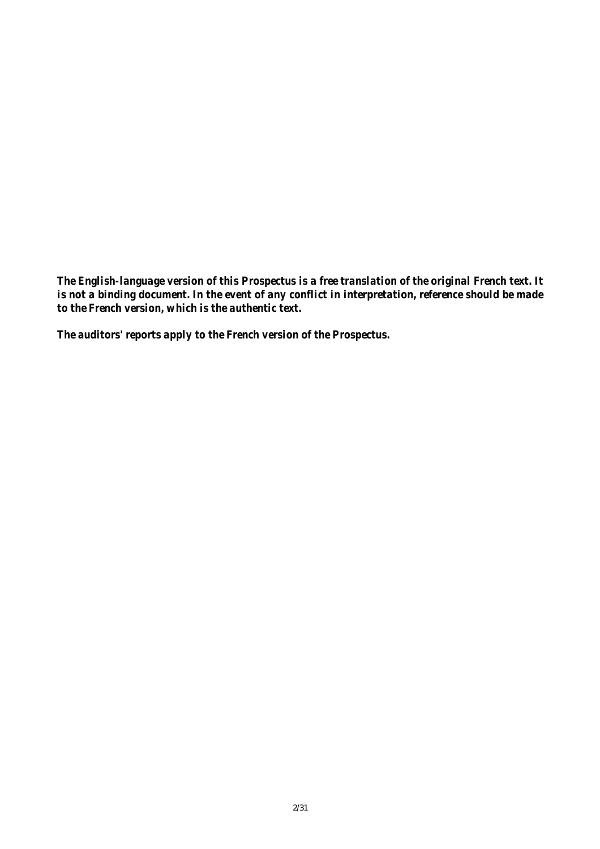*The English-language version of this Prospectus is a free translation of the original French text. It is not a binding document. In the event of any conflict in interpretation, reference should be made to the French version, which is the authentic text.*

*The auditors' reports apply to the French version of the Prospectus.*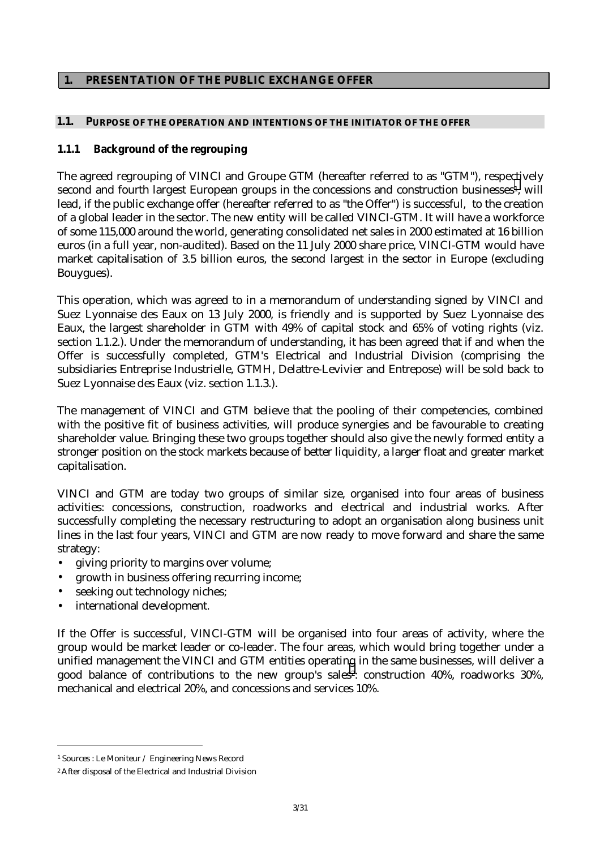## **1. PRESENTATION OF THE PUBLIC EXCHANGE OFFER**

#### **1.1. PURPOSE OF THE OPERATION AND INTENTIONS OF THE INITIATOR OF THE OFFER**

## **1.1.1 Background of the regrouping**

The agreed regrouping of VINCI and Groupe GTM (hereafter referred to as "GTM"), respectively second and fourth largest European groups in the concessions and construction businesses<sup>1</sup>, will lead, if the public exchange offer (hereafter referred to as "the Offer") is successful, to the creation of a global leader in the sector. The new entity will be called VINCI-GTM. It will have a workforce of some 115,000 around the world, generating consolidated net sales in 2000 estimated at 16 billion euros (in a full year, non-audited). Based on the 11 July 2000 share price, VINCI-GTM would have market capitalisation of 3.5 billion euros, the second largest in the sector in Europe (excluding Bouygues).

This operation, which was agreed to in a memorandum of understanding signed by VINCI and Suez Lyonnaise des Eaux on 13 July 2000, is friendly and is supported by Suez Lyonnaise des Eaux, the largest shareholder in GTM with 49% of capital stock and 65% of voting rights (viz. section 1.1.2.). Under the memorandum of understanding, it has been agreed that if and when the Offer is successfully completed, GTM's Electrical and Industrial Division (comprising the subsidiaries Entreprise Industrielle, GTMH, Delattre-Levivier and Entrepose) will be sold back to Suez Lyonnaise des Eaux (viz. section 1.1.3.).

The management of VINCI and GTM believe that the pooling of their competencies, combined with the positive fit of business activities, will produce synergies and be favourable to creating shareholder value. Bringing these two groups together should also give the newly formed entity a stronger position on the stock markets because of better liquidity, a larger float and greater market capitalisation.

VINCI and GTM are today two groups of similar size, organised into four areas of business activities: concessions, construction, roadworks and electrical and industrial works. After successfully completing the necessary restructuring to adopt an organisation along business unit lines in the last four years, VINCI and GTM are now ready to move forward and share the same strategy:

- giving priority to margins over volume;
- growth in business offering recurring income;
- seeking out technology niches;
- international development.

If the Offer is successful, VINCI-GTM will be organised into four areas of activity, where the group would be market leader or co-leader. The four areas, which would bring together under a unified management the VINCI and GTM entities operating in the same businesses, will deliver a good balance of contributions to the new group's sales<sup>2</sup>: construction 40%, roadworks 30%, mechanical and electrical 20%, and concessions and services 10%.

 $\overline{a}$ 

<sup>1</sup> Sources : Le Moniteur / Engineering News Record

<sup>2</sup> After disposal of the Electrical and Industrial Division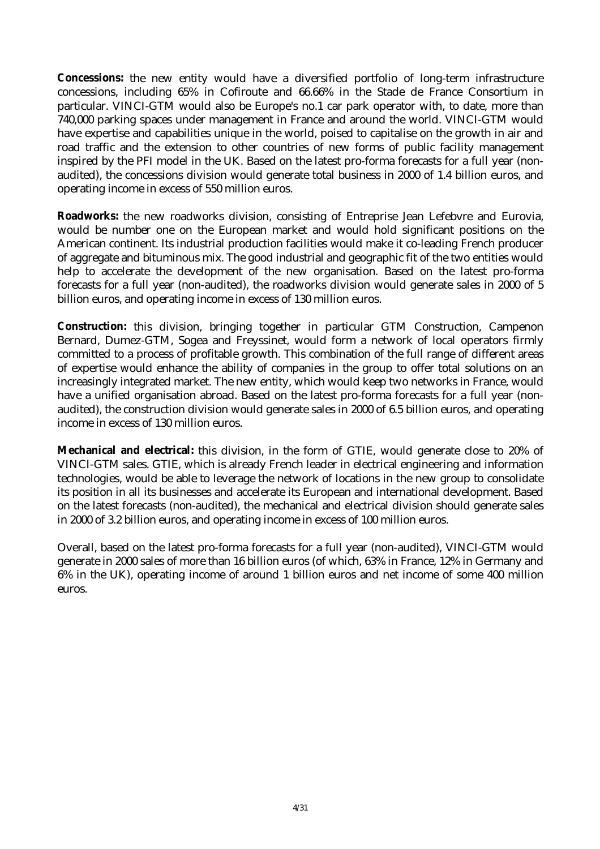**Concessions:** the new entity would have a diversified portfolio of long-term infrastructure concessions, including 65% in Cofiroute and 66.66% in the Stade de France Consortium in particular. VINCI-GTM would also be Europe's no.1 car park operator with, to date, more than 740,000 parking spaces under management in France and around the world. VINCI-GTM would have expertise and capabilities unique in the world, poised to capitalise on the growth in air and road traffic and the extension to other countries of new forms of public facility management inspired by the PFI model in the UK. Based on the latest pro-forma forecasts for a full year (nonaudited), the concessions division would generate total business in 2000 of 1.4 billion euros, and operating income in excess of 550 million euros.

**Roadworks:** the new roadworks division, consisting of Entreprise Jean Lefebvre and Eurovia, would be number one on the European market and would hold significant positions on the American continent. Its industrial production facilities would make it co-leading French producer of aggregate and bituminous mix. The good industrial and geographic fit of the two entities would help to accelerate the development of the new organisation. Based on the latest pro-forma forecasts for a full year (non-audited), the roadworks division would generate sales in 2000 of 5 billion euros, and operating income in excess of 130 million euros.

**Construction:** this division, bringing together in particular GTM Construction, Campenon Bernard, Dumez-GTM, Sogea and Freyssinet, would form a network of local operators firmly committed to a process of profitable growth. This combination of the full range of different areas of expertise would enhance the ability of companies in the group to offer total solutions on an increasingly integrated market. The new entity, which would keep two networks in France, would have a unified organisation abroad. Based on the latest pro-forma forecasts for a full year (nonaudited), the construction division would generate sales in 2000 of 6.5 billion euros, and operating income in excess of 130 million euros.

**Mechanical and electrical:** this division, in the form of GTIE, would generate close to 20% of VINCI-GTM sales. GTIE, which is already French leader in electrical engineering and information technologies, would be able to leverage the network of locations in the new group to consolidate its position in all its businesses and accelerate its European and international development. Based on the latest forecasts (non-audited), the mechanical and electrical division should generate sales in 2000 of 3.2 billion euros, and operating income in excess of 100 million euros.

Overall, based on the latest pro-forma forecasts for a full year (non-audited), VINCI-GTM would generate in 2000 sales of more than 16 billion euros (of which, 63% in France, 12% in Germany and 6% in the UK), operating income of around 1 billion euros and net income of some 400 million euros.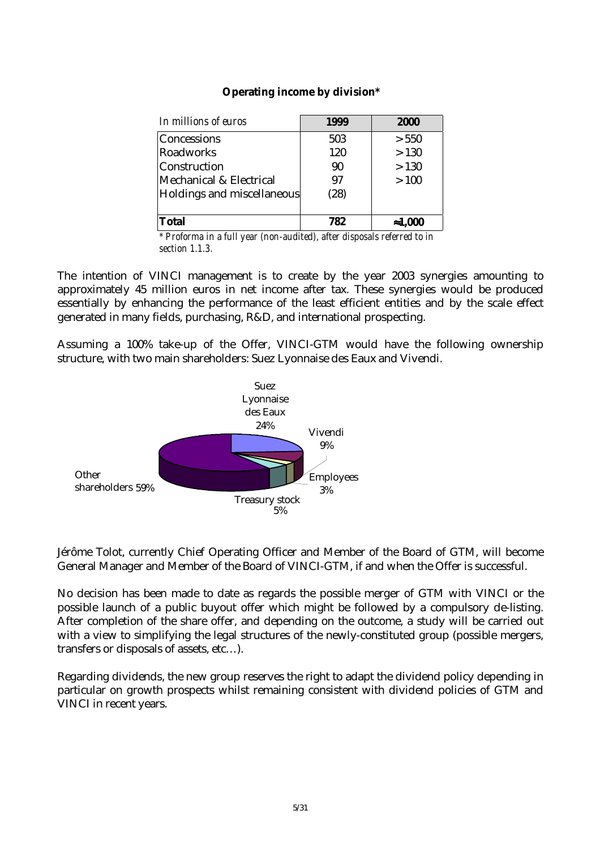| <b>Operating income by division*</b> |  |  |  |
|--------------------------------------|--|--|--|
|--------------------------------------|--|--|--|

| In millions of euros       | 1999 | 2000            |
|----------------------------|------|-----------------|
| <b>Concessions</b>         | 503  | > 550           |
| Roadworks                  | 120  | >130            |
| Construction               | 90   | >130            |
| Mechanical & Electrical    | 97   | >100            |
| Holdings and miscellaneous | (28) |                 |
| <b>Total</b>               | 782  | $\approx 1,000$ |

*\* Proforma in a full year (non-audited), after disposals referred to in section 1.1.3.*

The intention of VINCI management is to create by the year 2003 synergies amounting to approximately 45 million euros in net income after tax. These synergies would be produced essentially by enhancing the performance of the least efficient entities and by the scale effect generated in many fields, purchasing, R&D, and international prospecting.

Assuming a 100% take-up of the Offer, VINCI-GTM would have the following ownership structure, with two main shareholders: Suez Lyonnaise des Eaux and Vivendi.



Jérôme Tolot, currently Chief Operating Officer and Member of the Board of GTM, will become General Manager and Member of the Board of VINCI-GTM, if and when the Offer is successful.

No decision has been made to date as regards the possible merger of GTM with VINCI or the possible launch of a public buyout offer which might be followed by a compulsory de-listing. After completion of the share offer, and depending on the outcome, a study will be carried out with a view to simplifying the legal structures of the newly-constituted group (possible mergers, transfers or disposals of assets, etc…).

Regarding dividends, the new group reserves the right to adapt the dividend policy depending in particular on growth prospects whilst remaining consistent with dividend policies of GTM and VINCI in recent years.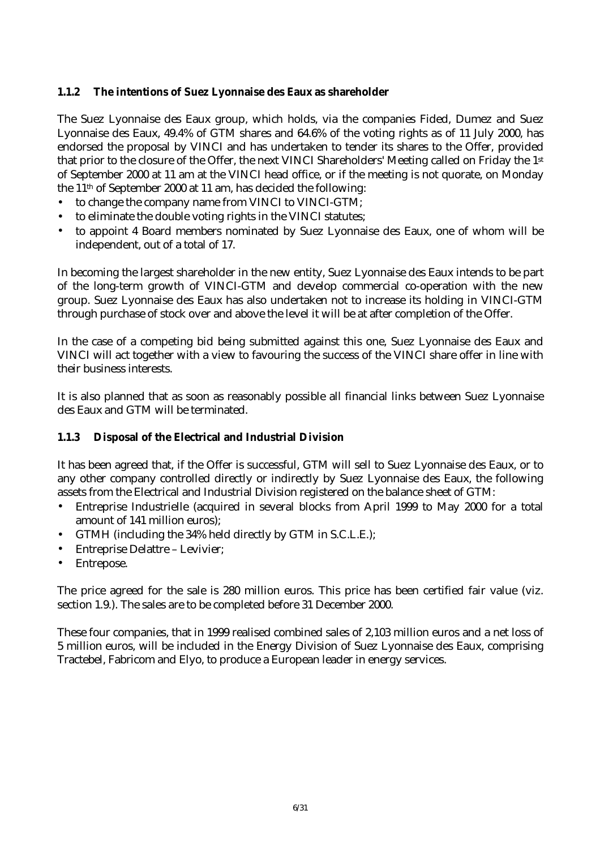## **1.1.2 The intentions of Suez Lyonnaise des Eaux as shareholder**

The Suez Lyonnaise des Eaux group, which holds, via the companies Fided, Dumez and Suez Lyonnaise des Eaux, 49.4% of GTM shares and 64.6% of the voting rights as of 11 July 2000, has endorsed the proposal by VINCI and has undertaken to tender its shares to the Offer, provided that prior to the closure of the Offer, the next VINCI Shareholders' Meeting called on Friday the 1st of September 2000 at 11 am at the VINCI head office, or if the meeting is not quorate, on Monday the 11th of September 2000 at 11 am, has decided the following:

- to change the company name from VINCI to VINCI-GTM;
- to eliminate the double voting rights in the VINCI statutes;
- to appoint 4 Board members nominated by Suez Lyonnaise des Eaux, one of whom will be independent, out of a total of 17.

In becoming the largest shareholder in the new entity, Suez Lyonnaise des Eaux intends to be part of the long-term growth of VINCI-GTM and develop commercial co-operation with the new group. Suez Lyonnaise des Eaux has also undertaken not to increase its holding in VINCI-GTM through purchase of stock over and above the level it will be at after completion of the Offer.

In the case of a competing bid being submitted against this one, Suez Lyonnaise des Eaux and VINCI will act together with a view to favouring the success of the VINCI share offer in line with their business interests.

It is also planned that as soon as reasonably possible all financial links between Suez Lyonnaise des Eaux and GTM will be terminated.

#### **1.1.3 Disposal of the Electrical and Industrial Division**

It has been agreed that, if the Offer is successful, GTM will sell to Suez Lyonnaise des Eaux, or to any other company controlled directly or indirectly by Suez Lyonnaise des Eaux, the following assets from the Electrical and Industrial Division registered on the balance sheet of GTM:

- Entreprise Industrielle (acquired in several blocks from April 1999 to May 2000 for a total amount of 141 million euros);
- GTMH (including the 34% held directly by GTM in S.C.L.E.);
- Entreprise Delattre Levivier;
- Entrepose.

The price agreed for the sale is 280 million euros. This price has been certified fair value (viz. section 1.9.). The sales are to be completed before 31 December 2000.

These four companies, that in 1999 realised combined sales of 2,103 million euros and a net loss of 5 million euros, will be included in the Energy Division of Suez Lyonnaise des Eaux, comprising Tractebel, Fabricom and Elyo, to produce a European leader in energy services.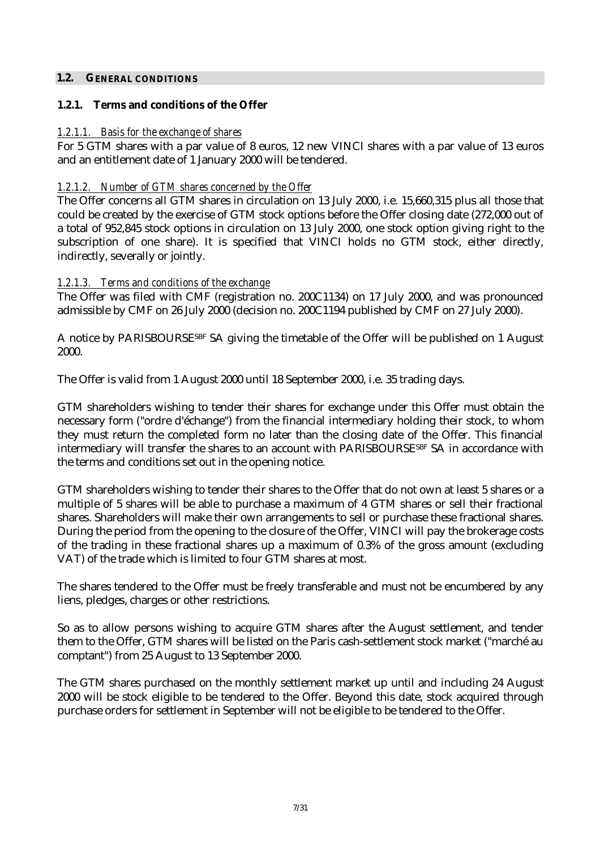#### **1.2. GENERAL CONDITIONS**

### **1.2.1. Terms and conditions of the Offer**

## *1.2.1.1. Basis for the exchange of shares*

For 5 GTM shares with a par value of 8 euros, 12 new VINCI shares with a par value of 13 euros and an entitlement date of 1 January 2000 will be tendered.

## *1.2.1.2. Number of GTM shares concerned by the Offer*

The Offer concerns all GTM shares in circulation on 13 July 2000, i.e. 15,660,315 plus all those that could be created by the exercise of GTM stock options before the Offer closing date (272,000 out of a total of 952,845 stock options in circulation on 13 July 2000, one stock option giving right to the subscription of one share). It is specified that VINCI holds no GTM stock, either directly, indirectly, severally or jointly.

## *1.2.1.3. Terms and conditions of the exchange*

The Offer was filed with CMF (registration no. 200C1134) on 17 July 2000, and was pronounced admissible by CMF on 26 July 2000 (decision no. 200C1194 published by CMF on 27 July 2000).

A notice by PARISBOURSESBF SA giving the timetable of the Offer will be published on 1 August 2000.

The Offer is valid from 1 August 2000 until 18 September 2000, i.e. 35 trading days.

GTM shareholders wishing to tender their shares for exchange under this Offer must obtain the necessary form ("ordre d'échange") from the financial intermediary holding their stock, to whom they must return the completed form no later than the closing date of the Offer. This financial intermediary will transfer the shares to an account with PARISBOURSE<sup>SBF</sup> SA in accordance with the terms and conditions set out in the opening notice.

GTM shareholders wishing to tender their shares to the Offer that do not own at least 5 shares or a multiple of 5 shares will be able to purchase a maximum of 4 GTM shares or sell their fractional shares. Shareholders will make their own arrangements to sell or purchase these fractional shares. During the period from the opening to the closure of the Offer, VINCI will pay the brokerage costs of the trading in these fractional shares up a maximum of 0.3% of the gross amount (excluding VAT) of the trade which is limited to four GTM shares at most.

The shares tendered to the Offer must be freely transferable and must not be encumbered by any liens, pledges, charges or other restrictions.

So as to allow persons wishing to acquire GTM shares after the August settlement, and tender them to the Offer, GTM shares will be listed on the Paris cash-settlement stock market ("marché au comptant") from 25 August to 13 September 2000.

The GTM shares purchased on the monthly settlement market up until and including 24 August 2000 will be stock eligible to be tendered to the Offer. Beyond this date, stock acquired through purchase orders for settlement in September will not be eligible to be tendered to the Offer.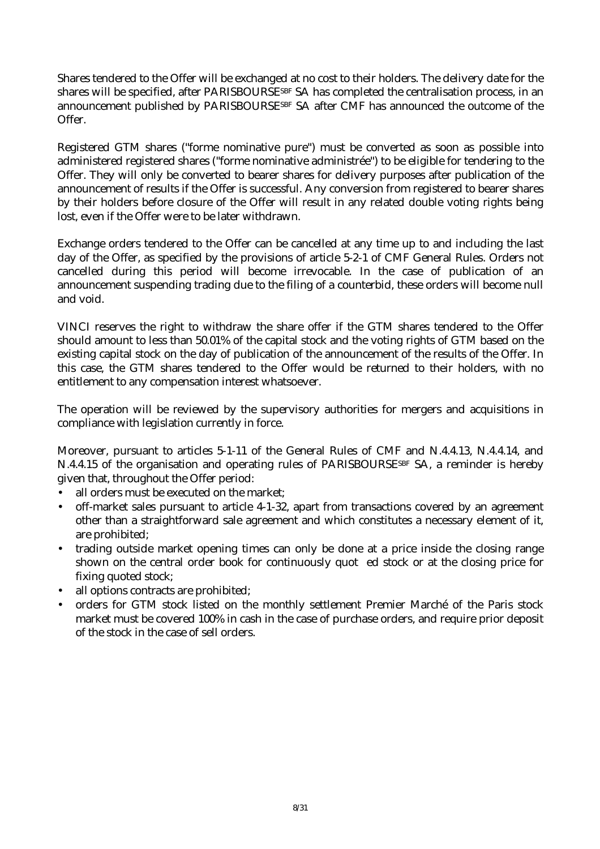Shares tendered to the Offer will be exchanged at no cost to their holders. The delivery date for the shares will be specified, after PARISBOURSE<sup>SBF</sup> SA has completed the centralisation process, in an announcement published by PARISBOURSESBF SA after CMF has announced the outcome of the Offer.

Registered GTM shares ("forme nominative pure") must be converted as soon as possible into administered registered shares ("forme nominative administrée") to be eligible for tendering to the Offer. They will only be converted to bearer shares for delivery purposes after publication of the announcement of results if the Offer is successful. Any conversion from registered to bearer shares by their holders before closure of the Offer will result in any related double voting rights being lost, even if the Offer were to be later withdrawn.

Exchange orders tendered to the Offer can be cancelled at any time up to and including the last day of the Offer, as specified by the provisions of article 5-2-1 of CMF General Rules. Orders not cancelled during this period will become irrevocable. In the case of publication of an announcement suspending trading due to the filing of a counterbid, these orders will become null and void.

VINCI reserves the right to withdraw the share offer if the GTM shares tendered to the Offer should amount to less than 50.01% of the capital stock and the voting rights of GTM based on the existing capital stock on the day of publication of the announcement of the results of the Offer. In this case, the GTM shares tendered to the Offer would be returned to their holders, with no entitlement to any compensation interest whatsoever.

The operation will be reviewed by the supervisory authorities for mergers and acquisitions in compliance with legislation currently in force.

Moreover, pursuant to articles 5-1-11 of the General Rules of CMF and N.4.4.13, N.4.4.14, and N.4.4.15 of the organisation and operating rules of PARISBOURSESBF SA, a reminder is hereby given that, throughout the Offer period:

- all orders must be executed on the market:
- off-market sales pursuant to article 4-1-32, apart from transactions covered by an agreement other than a straightforward sale agreement and which constitutes a necessary element of it, are prohibited;
- trading outside market opening times can only be done at a price inside the closing range shown on the central order book for continuously quot ed stock or at the closing price for fixing quoted stock;
- all options contracts are prohibited;
- orders for GTM stock listed on the monthly settlement Premier Marché of the Paris stock market must be covered 100% in cash in the case of purchase orders, and require prior deposit of the stock in the case of sell orders.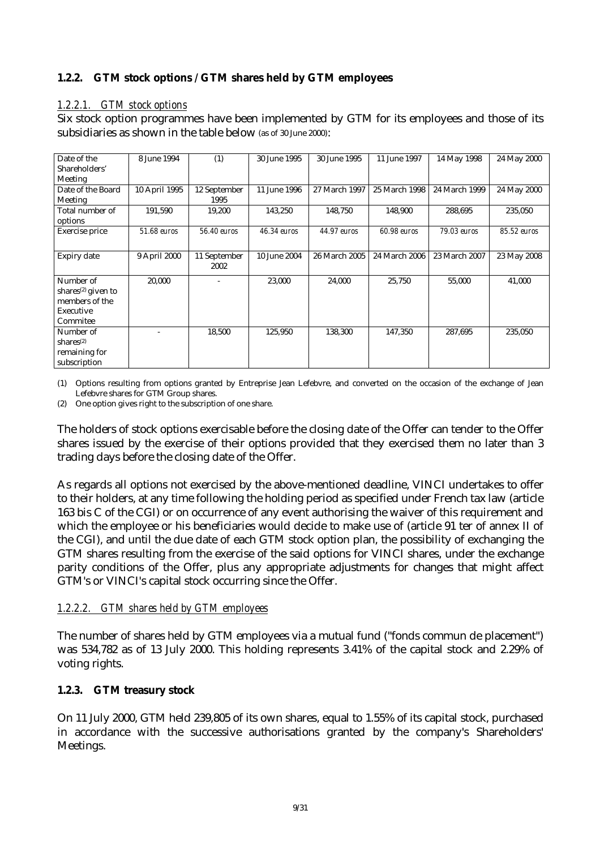## **1.2.2. GTM stock options / GTM shares held by GTM employees**

## *1.2.2.1. GTM stock options*

Six stock option programmes have been implemented by GTM for its employees and those of its subsidiaries as shown in the table below (as of 30 June 2000):

| Date of the                    | 8 June 1994   | (1)                | 30 June 1995 | 30 June 1995  | 11 June 1997  | 14 May 1998   | 24 May 2000 |
|--------------------------------|---------------|--------------------|--------------|---------------|---------------|---------------|-------------|
| Shareholders'                  |               |                    |              |               |               |               |             |
| Meeting                        |               |                    |              |               |               |               |             |
| Date of the Board              | 10 April 1995 | 12 September       | 11 June 1996 | 27 March 1997 | 25 March 1998 | 24 March 1999 | 24 May 2000 |
| Meeting                        |               | 1995               |              |               |               |               |             |
| Total number of                | 191,590       | 19,200             | 143,250      | 148,750       | 148,900       | 288,695       | 235,050     |
| options                        |               |                    |              |               |               |               |             |
| Exercise price                 | 51.68 euros   | <b>56.40 euros</b> | 46.34 euros  | 44.97 euros   | 60.98 euros   | 79.03 euros   | 85.52 euros |
|                                |               |                    |              |               |               |               |             |
| Expiry date                    | 9 April 2000  | 11 September       | 10 June 2004 | 26 March 2005 | 24 March 2006 | 23 March 2007 | 23 May 2008 |
|                                |               | 2002               |              |               |               |               |             |
| Number of                      | 20,000        |                    | 23,000       | 24,000        | 25,750        | 55,000        | 41,000      |
| shares <sup>(2)</sup> given to |               |                    |              |               |               |               |             |
| members of the                 |               |                    |              |               |               |               |             |
| Executive                      |               |                    |              |               |               |               |             |
| Commitee                       |               |                    |              |               |               |               |             |
| Number of                      |               | 18,500             | 125,950      | 138,300       | 147,350       | 287,695       | 235,050     |
| shares <sup>(2)</sup>          |               |                    |              |               |               |               |             |
| remaining for                  |               |                    |              |               |               |               |             |
| subscription                   |               |                    |              |               |               |               |             |

(1) Options resulting from options granted by Entreprise Jean Lefebvre, and converted on the occasion of the exchange of Jean Lefebvre shares for GTM Group shares.

(2) One option gives right to the subscription of one share.

The holders of stock options exercisable before the closing date of the Offer can tender to the Offer shares issued by the exercise of their options provided that they exercised them no later than 3 trading days before the closing date of the Offer.

As regards all options not exercised by the above-mentioned deadline, VINCI undertakes to offer to their holders, at any time following the holding period as specified under French tax law (article 163 bis C of the CGI) or on occurrence of any event authorising the waiver of this requirement and which the employee or his beneficiaries would decide to make use of (article 91 ter of annex II of the CGI), and until the due date of each GTM stock option plan, the possibility of exchanging the GTM shares resulting from the exercise of the said options for VINCI shares, under the exchange parity conditions of the Offer, plus any appropriate adjustments for changes that might affect GTM's or VINCI's capital stock occurring since the Offer.

## *1.2.2.2. GTM shares held by GTM employees*

The number of shares held by GTM employees via a mutual fund ("fonds commun de placement") was 534,782 as of 13 July 2000. This holding represents 3.41% of the capital stock and 2.29% of voting rights.

## **1.2.3. GTM treasury stock**

On 11 July 2000, GTM held 239,805 of its own shares, equal to 1.55% of its capital stock, purchased in accordance with the successive authorisations granted by the company's Shareholders' Meetings.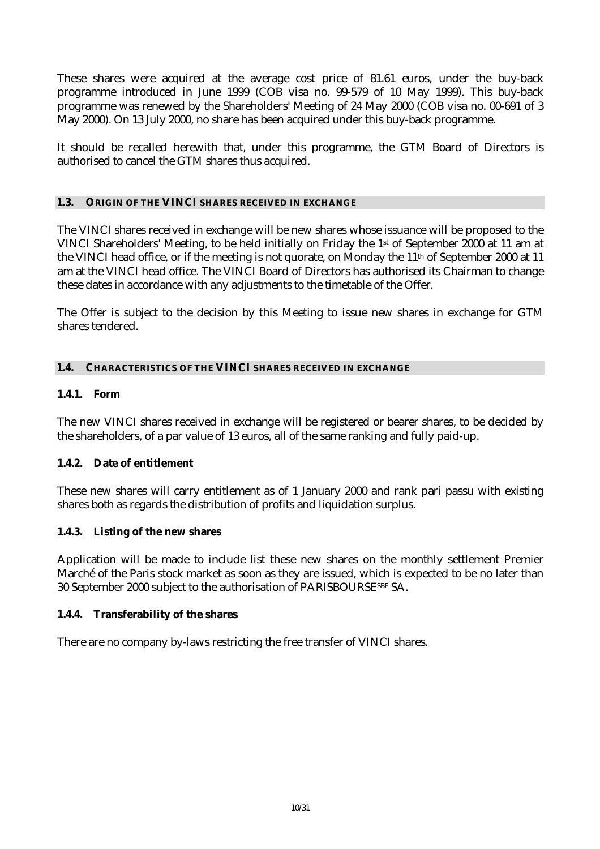These shares were acquired at the average cost price of 81.61 euros, under the buy-back programme introduced in June 1999 (COB visa no. 99-579 of 10 May 1999). This buy-back programme was renewed by the Shareholders' Meeting of 24 May 2000 (COB visa no. 00-691 of 3 May 2000). On 13 July 2000, no share has been acquired under this buy-back programme.

It should be recalled herewith that, under this programme, the GTM Board of Directors is authorised to cancel the GTM shares thus acquired.

## **1.3. ORIGIN OF THE VINCI SHARES RECEIVED IN EXCHANGE**

The VINCI shares received in exchange will be new shares whose issuance will be proposed to the VINCI Shareholders' Meeting, to be held initially on Friday the 1st of September 2000 at 11 am at the VINCI head office, or if the meeting is not quorate, on Monday the  $11<sup>th</sup>$  of September 2000 at 11 am at the VINCI head office. The VINCI Board of Directors has authorised its Chairman to change these dates in accordance with any adjustments to the timetable of the Offer.

The Offer is subject to the decision by this Meeting to issue new shares in exchange for GTM shares tendered.

## **1.4. CHARACTERISTICS OF THE VINCI SHARES RECEIVED IN EXCHANGE**

## **1.4.1. Form**

The new VINCI shares received in exchange will be registered or bearer shares, to be decided by the shareholders, of a par value of 13 euros, all of the same ranking and fully paid-up.

## **1.4.2. Date of entitlement**

These new shares will carry entitlement as of 1 January 2000 and rank pari passu with existing shares both as regards the distribution of profits and liquidation surplus.

#### **1.4.3. Listing of the new shares**

Application will be made to include list these new shares on the monthly settlement Premier Marché of the Paris stock market as soon as they are issued, which is expected to be no later than 30 September 2000 subject to the authorisation of PARISBOURSESBF SA.

#### **1.4.4. Transferability of the shares**

There are no company by-laws restricting the free transfer of VINCI shares.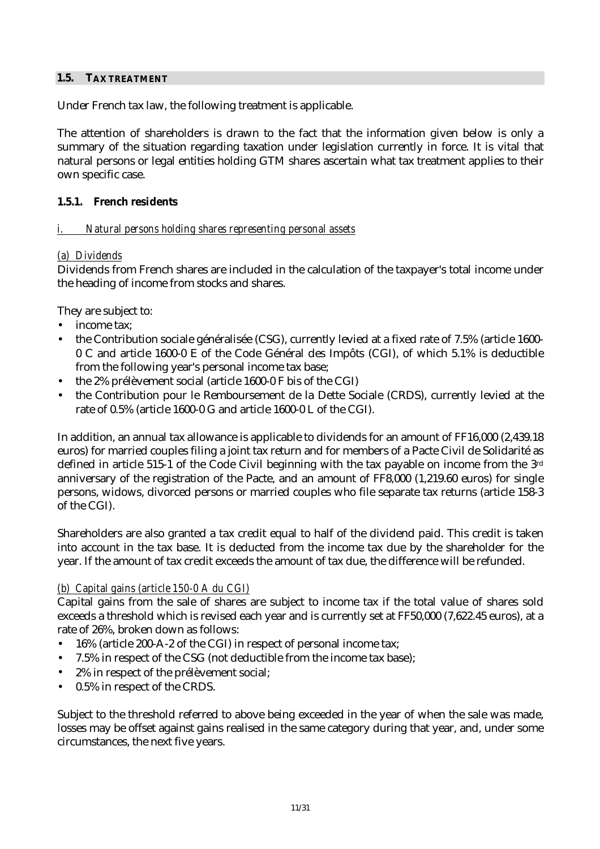## **1.5. TAX TREATMENT**

Under French tax law, the following treatment is applicable.

The attention of shareholders is drawn to the fact that the information given below is only a summary of the situation regarding taxation under legislation currently in force. It is vital that natural persons or legal entities holding GTM shares ascertain what tax treatment applies to their own specific case.

## **1.5.1. French residents**

## *i. Natural persons holding shares representing personal assets*

## *(a) Dividends*

Dividends from French shares are included in the calculation of the taxpayer's total income under the heading of income from stocks and shares.

They are subject to:

- income tax:
- the Contribution sociale généralisée (CSG), currently levied at a fixed rate of 7.5% (article 1600- 0 C and article 1600-0 E of the Code Général des Impôts (CGI), of which 5.1% is deductible from the following year's personal income tax base;
- the 2% prélèvement social (article 1600-0 F bis of the CGI)
- the Contribution pour le Remboursement de la Dette Sociale (CRDS), currently levied at the rate of 0.5% (article 1600-0 G and article 1600-0 L of the CGI).

In addition, an annual tax allowance is applicable to dividends for an amount of FF16,000 (2,439.18 euros) for married couples filing a joint tax return and for members of a Pacte Civil de Solidarité as defined in article 515-1 of the Code Civil beginning with the tax payable on income from the 3rd anniversary of the registration of the Pacte, and an amount of FF8,000 (1,219.60 euros) for single persons, widows, divorced persons or married couples who file separate tax returns (article 158-3 of the CGI).

Shareholders are also granted a tax credit equal to half of the dividend paid. This credit is taken into account in the tax base. It is deducted from the income tax due by the shareholder for the year. If the amount of tax credit exceeds the amount of tax due, the difference will be refunded.

#### *(b) Capital gains (article 150-0 A du CGI)*

Capital gains from the sale of shares are subject to income tax if the total value of shares sold exceeds a threshold which is revised each year and is currently set at FF50,000 (7,622.45 euros), at a rate of 26%, broken down as follows:

- 16% (article 200-A-2 of the CGI) in respect of personal income tax;
- 7.5% in respect of the CSG (not deductible from the income tax base);
- 2% in respect of the prélèvement social;
- 0.5% in respect of the CRDS.

Subject to the threshold referred to above being exceeded in the year of when the sale was made, losses may be offset against gains realised in the same category during that year, and, under some circumstances, the next five years.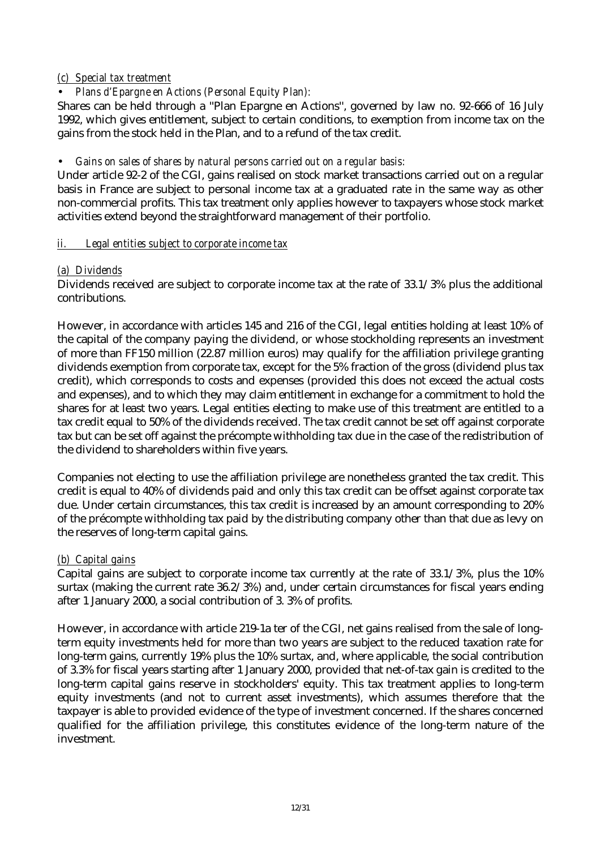## *(c) Special tax treatment*

## • *Plans d'Epargne en Actions (Personal Equity Plan):*

Shares can be held through a ''Plan Epargne en Actions'', governed by law no. 92-666 of 16 July 1992, which gives entitlement, subject to certain conditions, to exemption from income tax on the gains from the stock held in the Plan, and to a refund of the tax credit.

## • *Gains on sales of shares by natural persons carried out on a regular basis:*

Under article 92-2 of the CGI, gains realised on stock market transactions carried out on a regular basis in France are subject to personal income tax at a graduated rate in the same way as other non-commercial profits. This tax treatment only applies however to taxpayers whose stock market activities extend beyond the straightforward management of their portfolio.

## *ii. Legal entities subject to corporate income tax*

## *(a) Dividends*

Dividends received are subject to corporate income tax at the rate of 33.1/3% plus the additional contributions.

However, in accordance with articles 145 and 216 of the CGI, legal entities holding at least 10% of the capital of the company paying the dividend, or whose stockholding represents an investment of more than FF150 million (22.87 million euros) may qualify for the affiliation privilege granting dividends exemption from corporate tax, except for the 5% fraction of the gross (dividend plus tax credit), which corresponds to costs and expenses (provided this does not exceed the actual costs and expenses), and to which they may claim entitlement in exchange for a commitment to hold the shares for at least two years. Legal entities electing to make use of this treatment are entitled to a tax credit equal to 50% of the dividends received. The tax credit cannot be set off against corporate tax but can be set off against the précompte withholding tax due in the case of the redistribution of the dividend to shareholders within five years.

Companies not electing to use the affiliation privilege are nonetheless granted the tax credit. This credit is equal to 40% of dividends paid and only this tax credit can be offset against corporate tax due. Under certain circumstances, this tax credit is increased by an amount corresponding to 20% of the précompte withholding tax paid by the distributing company other than that due as levy on the reserves of long-term capital gains.

## *(b) Capital gains*

Capital gains are subject to corporate income tax currently at the rate of 33.1/3%, plus the 10% surtax (making the current rate 36.2/3%) and, under certain circumstances for fiscal years ending after 1 January 2000, a social contribution of 3. 3% of profits.

However, in accordance with article 219-1a ter of the CGI, net gains realised from the sale of longterm equity investments held for more than two years are subject to the reduced taxation rate for long-term gains, currently 19% plus the 10% surtax, and, where applicable, the social contribution of 3.3% for fiscal years starting after 1 January 2000, provided that net-of-tax gain is credited to the long-term capital gains reserve in stockholders' equity. This tax treatment applies to long-term equity investments (and not to current asset investments), which assumes therefore that the taxpayer is able to provided evidence of the type of investment concerned. If the shares concerned qualified for the affiliation privilege, this constitutes evidence of the long-term nature of the investment.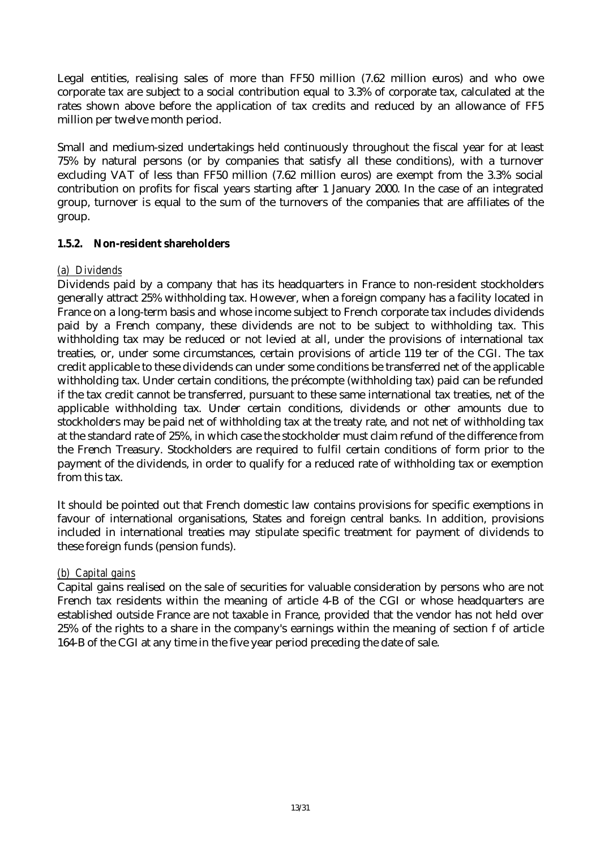Legal entities, realising sales of more than FF50 million (7.62 million euros) and who owe corporate tax are subject to a social contribution equal to 3.3% of corporate tax, calculated at the rates shown above before the application of tax credits and reduced by an allowance of FF5 million per twelve month period.

Small and medium-sized undertakings held continuously throughout the fiscal year for at least 75% by natural persons (or by companies that satisfy all these conditions), with a turnover excluding VAT of less than FF50 million (7.62 million euros) are exempt from the 3.3% social contribution on profits for fiscal years starting after 1 January 2000. In the case of an integrated group, turnover is equal to the sum of the turnovers of the companies that are affiliates of the group.

## **1.5.2. Non-resident shareholders**

#### *(a) Dividends*

Dividends paid by a company that has its headquarters in France to non-resident stockholders generally attract 25% withholding tax. However, when a foreign company has a facility located in France on a long-term basis and whose income subject to French corporate tax includes dividends paid by a French company, these dividends are not to be subject to withholding tax. This withholding tax may be reduced or not levied at all, under the provisions of international tax treaties, or, under some circumstances, certain provisions of article 119 ter of the CGI. The tax credit applicable to these dividends can under some conditions be transferred net of the applicable withholding tax. Under certain conditions, the précompte (withholding tax) paid can be refunded if the tax credit cannot be transferred, pursuant to these same international tax treaties, net of the applicable withholding tax. Under certain conditions, dividends or other amounts due to stockholders may be paid net of withholding tax at the treaty rate, and not net of withholding tax at the standard rate of 25%, in which case the stockholder must claim refund of the difference from the French Treasury. Stockholders are required to fulfil certain conditions of form prior to the payment of the dividends, in order to qualify for a reduced rate of withholding tax or exemption from this tax.

It should be pointed out that French domestic law contains provisions for specific exemptions in favour of international organisations, States and foreign central banks. In addition, provisions included in international treaties may stipulate specific treatment for payment of dividends to these foreign funds (pension funds).

## *(b) Capital gains*

Capital gains realised on the sale of securities for valuable consideration by persons who are not French tax residents within the meaning of article 4-B of the CGI or whose headquarters are established outside France are not taxable in France, provided that the vendor has not held over 25% of the rights to a share in the company's earnings within the meaning of section f of article 164-B of the CGI at any time in the five year period preceding the date of sale.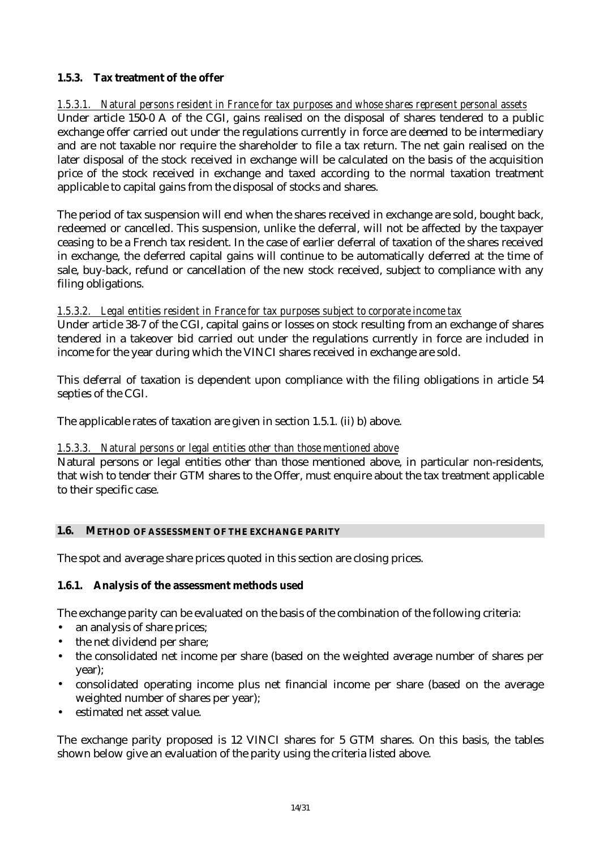## **1.5.3. Tax treatment of the offer**

*1.5.3.1. Natural persons resident in France for tax purposes and whose shares represent personal assets* Under article 150-0 A of the CGI, gains realised on the disposal of shares tendered to a public exchange offer carried out under the regulations currently in force are deemed to be intermediary and are not taxable nor require the shareholder to file a tax return. The net gain realised on the later disposal of the stock received in exchange will be calculated on the basis of the acquisition price of the stock received in exchange and taxed according to the normal taxation treatment applicable to capital gains from the disposal of stocks and shares.

The period of tax suspension will end when the shares received in exchange are sold, bought back, redeemed or cancelled. This suspension, unlike the deferral, will not be affected by the taxpayer ceasing to be a French tax resident. In the case of earlier deferral of taxation of the shares received in exchange, the deferred capital gains will continue to be automatically deferred at the time of sale, buy-back, refund or cancellation of the new stock received, subject to compliance with any filing obligations.

## *1.5.3.2. Legal entities resident in France for tax purposes subject to corporate income tax*

Under article 38-7 of the CGI, capital gains or losses on stock resulting from an exchange of shares tendered in a takeover bid carried out under the regulations currently in force are included in income for the year during which the VINCI shares received in exchange are sold.

This deferral of taxation is dependent upon compliance with the filing obligations in article 54 septies of the CGI.

The applicable rates of taxation are given in section 1.5.1. (ii) b) above.

## *1.5.3.3. Natural persons or legal entities other than those mentioned above*

Natural persons or legal entities other than those mentioned above, in particular non-residents, that wish to tender their GTM shares to the Offer, must enquire about the tax treatment applicable to their specific case.

#### **1.6. METHOD OF ASSESSMENT OF THE EXCHANGE PARITY**

The spot and average share prices quoted in this section are closing prices.

#### **1.6.1. Analysis of the assessment methods used**

The exchange parity can be evaluated on the basis of the combination of the following criteria:

- an analysis of share prices;
- the net dividend per share;
- the consolidated net income per share (based on the weighted average number of shares per year);
- consolidated operating income plus net financial income per share (based on the average weighted number of shares per year);
- estimated net asset value.

The exchange parity proposed is 12 VINCI shares for 5 GTM shares. On this basis, the tables shown below give an evaluation of the parity using the criteria listed above.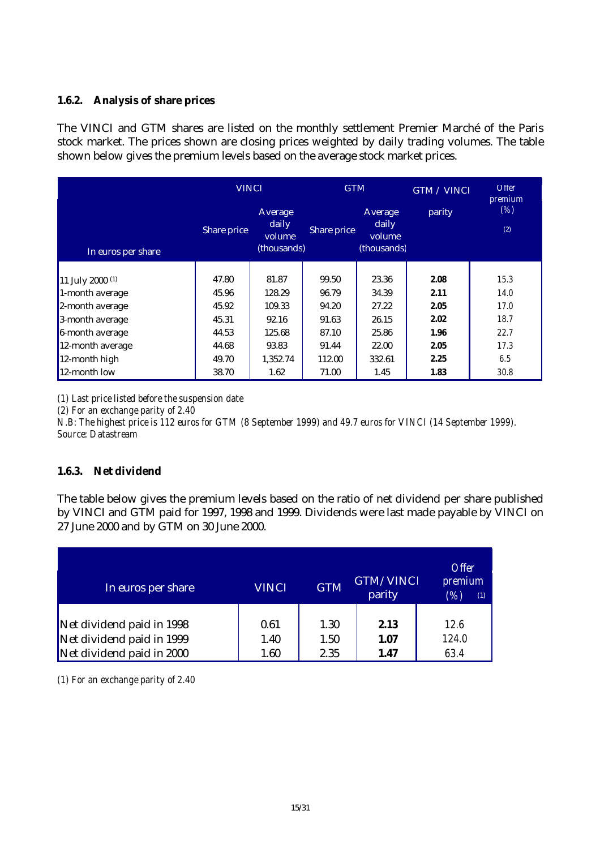## **1.6.2. Analysis of share prices**

The VINCI and GTM shares are listed on the monthly settlement Premier Marché of the Paris stock market. The prices shown are closing prices weighted by daily trading volumes. The table shown below gives the premium levels based on the average stock market prices.

|                             | <b>VINCI</b> |                                           | <b>GTM</b>  |                                           | GTM / VINCI | <b>Offer</b><br>premium |
|-----------------------------|--------------|-------------------------------------------|-------------|-------------------------------------------|-------------|-------------------------|
| In euros per share          | Share price  | Average<br>daily<br>volume<br>(thousands) | Share price | Average<br>daily<br>volume<br>(thousands) | parity      | (%)<br>(2)              |
|                             |              |                                           |             |                                           |             |                         |
| 11 July 2000 <sup>(1)</sup> | 47.80        | 81.87                                     | 99.50       | 23.36                                     | 2.08        | 15.3                    |
| 1-month average             | 45.96        | 128.29                                    | 96.79       | 34.39                                     | 2.11        | <i>14.0</i>             |
| 2-month average             | 45.92        | 109.33                                    | 94.20       | 27.22                                     | 2.05        | 17.0                    |
| 3-month average             | 45.31        | 92.16                                     | 91.63       | 26.15                                     | 2.02        | 18.7                    |
| 6-month average             | 44.53        | 125.68                                    | 87.10       | 25.86                                     | 1.96        | 22.7                    |
| 12-month average            | 44.68        | 93.83                                     | 91.44       | 22.00                                     | 2.05        | 17.3                    |
| 12-month high               | 49.70        | 1,352.74                                  | 112.00      | 332.61                                    | 2.25        | 6.5                     |
| 12-month low                | 38.70        | 1.62                                      | 71.00       | 1.45                                      | 1.83        | 30.8                    |

*(1) Last price listed before the suspension date*

*(2) For an exchange parity of 2.40*

*N.B: The highest price is 112 euros for GTM (8 September 1999) and 49.7 euros for VINCI (14 September 1999). Source: Datastream*

## **1.6.3. Net dividend**

The table below gives the premium levels based on the ratio of net dividend per share published by VINCI and GTM paid for 1997, 1998 and 1999. Dividends were last made payable by VINCI on 27 June 2000 and by GTM on 30 June 2000.

| In euros per share        | <b>VINCI</b> | <b>GTM</b> | GTM/VINCI<br>parity | <i><b>Offer</b></i><br><i>premium</i><br>(%)<br>(1) |
|---------------------------|--------------|------------|---------------------|-----------------------------------------------------|
| Net dividend paid in 1998 | 0.61         | 1.30       | 2.13                | 12.6                                                |
| Net dividend paid in 1999 | 1.40         | 1.50       | 1.07                | 124.0                                               |
| Net dividend paid in 2000 | 1.60         | 2.35       | 1.47                | 63.4                                                |

*(1) For an exchange parity of 2.40*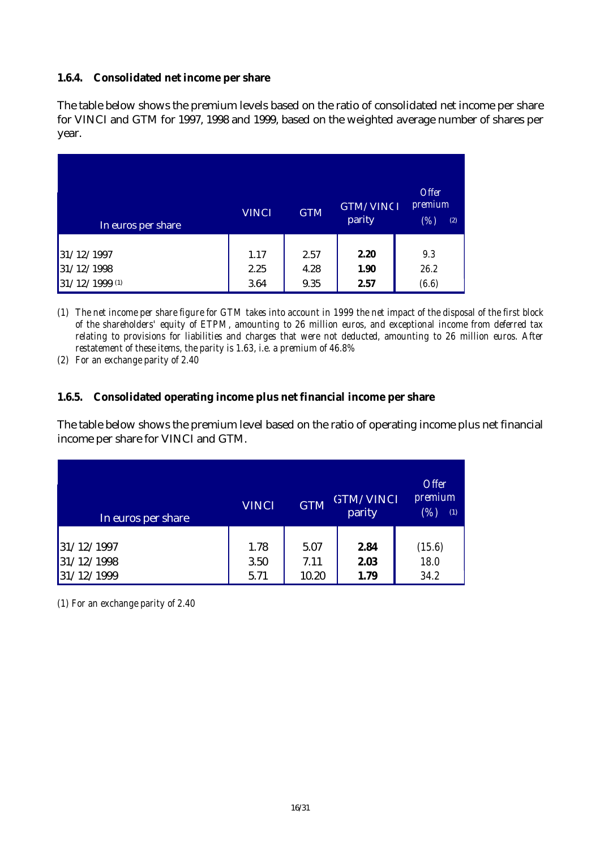## **1.6.4. Consolidated net income per share**

The table below shows the premium levels based on the ratio of consolidated net income per share for VINCI and GTM for 1997, 1998 and 1999, based on the weighted average number of shares per year.

| In euros per share | <b>VINCI</b> | <b>GTM</b> | <b>GTM/VINCI</b><br>parity | <b>Offer</b><br><i>premium</i><br>(%)<br>(2) |
|--------------------|--------------|------------|----------------------------|----------------------------------------------|
| 31/12/1997         | 1.17         | 2.57       | 2.20                       | 9.3                                          |
| 31/12/1998         | 2.25         | 4.28       | 1.90                       | 26.2                                         |
| 31/12/1999 (1)     | 3.64         | 9.35       | 2.57                       | (6.6)                                        |

*(1) The net income per share figure for GTM takes into account in 1999 the net impact of the disposal of the first block of the shareholders' equity of ETPM, amounting to 26 million euros, and exceptional income from deferred tax relating to provisions for liabilities and charges that were not deducted, amounting to 26 million euros. After restatement of these items, the parity is 1.63, i.e. a premium of 46.8%*

*(2) For an exchange parity of 2.40*

#### **1.6.5. Consolidated operating income plus net financial income per share**

The table below shows the premium level based on the ratio of operating income plus net financial income per share for VINCI and GTM.

| In euros per share | <b>VINCI</b> | <b>GTM</b> | <b>GTM/VINCI</b><br>parity | <b>Offer</b><br>premium<br>(% ,<br>(1) |
|--------------------|--------------|------------|----------------------------|----------------------------------------|
| 31/12/1997         | 1.78         | 5.07       | 2.84                       | (15.6)                                 |
| 31/12/1998         | 3.50         | 7.11       | 2.03                       | 18.0                                   |
| 31/12/1999         | 5.71         | 10.20      | 1.79                       | 34.2                                   |

*(1) For an exchange parity of 2.40*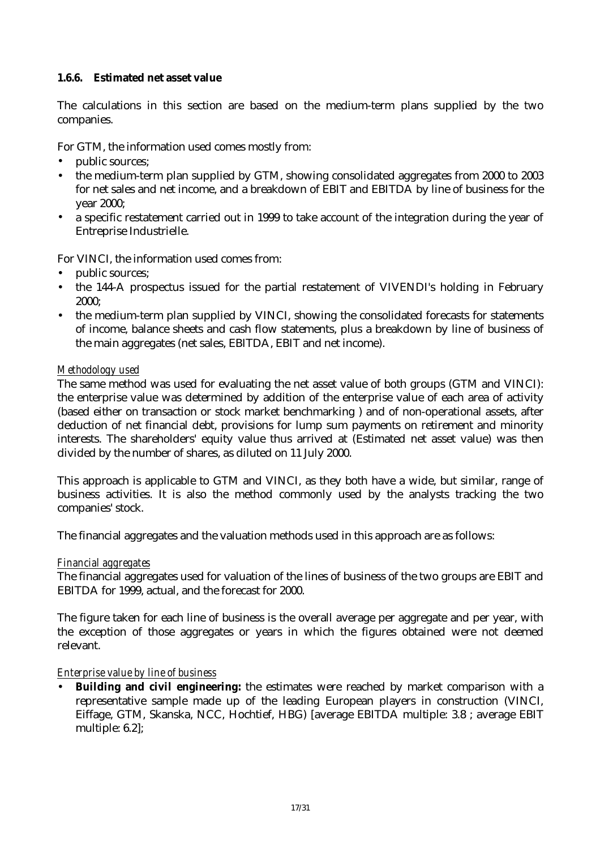## **1.6.6. Estimated net asset value**

The calculations in this section are based on the medium-term plans supplied by the two companies.

For GTM, the information used comes mostly from:

- public sources;
- the medium-term plan supplied by GTM, showing consolidated aggregates from 2000 to 2003 for net sales and net income, and a breakdown of EBIT and EBITDA by line of business for the year 2000;
- a specific restatement carried out in 1999 to take account of the integration during the year of Entreprise Industrielle.

For VINCI, the information used comes from:

- public sources;
- the 144-A prospectus issued for the partial restatement of VIVENDI's holding in February 2000;
- the medium-term plan supplied by VINCI, showing the consolidated forecasts for statements of income, balance sheets and cash flow statements, plus a breakdown by line of business of the main aggregates (net sales, EBITDA, EBIT and net income).

## *Methodology used*

The same method was used for evaluating the net asset value of both groups (GTM and VINCI): the enterprise value was determined by addition of the enterprise value of each area of activity (based either on transaction or stock market benchmarking ) and of non-operational assets, after deduction of net financial debt, provisions for lump sum payments on retirement and minority interests. The shareholders' equity value thus arrived at (Estimated net asset value) was then divided by the number of shares, as diluted on 11 July 2000.

This approach is applicable to GTM and VINCI, as they both have a wide, but similar, range of business activities. It is also the method commonly used by the analysts tracking the two companies' stock.

The financial aggregates and the valuation methods used in this approach are as follows:

#### *Financial aggregates*

The financial aggregates used for valuation of the lines of business of the two groups are EBIT and EBITDA for 1999, actual, and the forecast for 2000.

The figure taken for each line of business is the overall average per aggregate and per year, with the exception of those aggregates or years in which the figures obtained were not deemed relevant.

#### *Enterprise value by line of business*

• **Building and civil engineering:** the estimates were reached by market comparison with a representative sample made up of the leading European players in construction (VINCI, Eiffage, GTM, Skanska, NCC, Hochtief, HBG) [average EBITDA multiple: 3.8 ; average EBIT multiple: 6.2];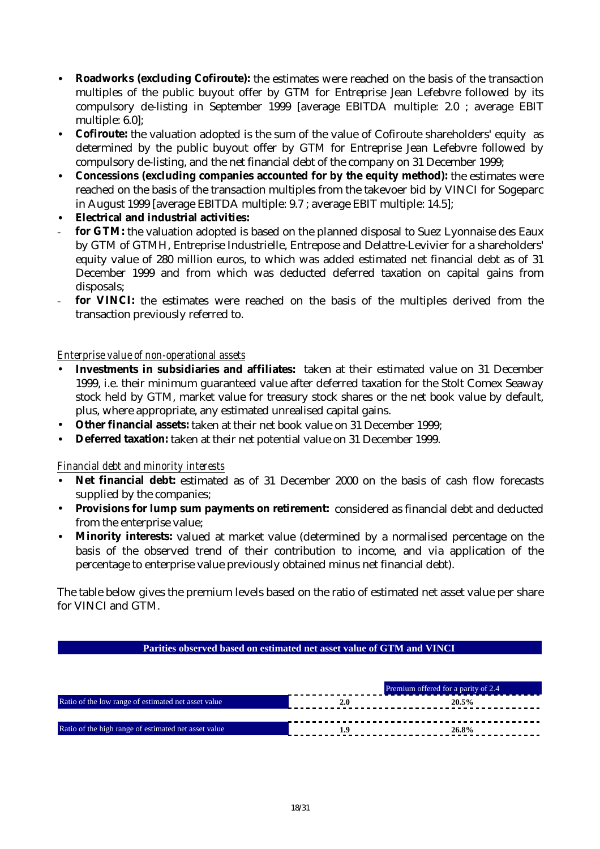- **Roadworks (excluding Cofiroute):** the estimates were reached on the basis of the transaction multiples of the public buyout offer by GTM for Entreprise Jean Lefebvre followed by its compulsory de-listing in September 1999 [average EBITDA multiple: 2.0 ; average EBIT multiple: 6.0];
- **Cofiroute:** the valuation adopted is the sum of the value of Cofiroute shareholders' equity as determined by the public buyout offer by GTM for Entreprise Jean Lefebvre followed by compulsory de-listing, and the net financial debt of the company on 31 December 1999;
- **Concessions (excluding companies accounted for by the equity method):** the estimates were reached on the basis of the transaction multiples from the takevoer bid by VINCI for Sogeparc in August 1999 [average EBITDA multiple: 9.7 ; average EBIT multiple: 14.5];
- **Electrical and industrial activities:**
- for GTM: the valuation adopted is based on the planned disposal to Suez Lyonnaise des Eaux by GTM of GTMH, Entreprise Industrielle, Entrepose and Delattre-Levivier for a shareholders' equity value of 280 million euros, to which was added estimated net financial debt as of 31 December 1999 and from which was deducted deferred taxation on capital gains from disposals;
- for VINCI: the estimates were reached on the basis of the multiples derived from the transaction previously referred to.

## *Enterprise value of non-operational assets*

- **Investments in subsidiaries and affiliates:** taken at their estimated value on 31 December 1999, i.e. their minimum guaranteed value after deferred taxation for the Stolt Comex Seaway stock held by GTM, market value for treasury stock shares or the net book value by default, plus, where appropriate, any estimated unrealised capital gains.
- **Other financial assets:** taken at their net book value on 31 December 1999;
- **Deferred taxation:** taken at their net potential value on 31 December 1999.

## *Financial debt and minority interests*

- **Net financial debt:** estimated as of 31 December 2000 on the basis of cash flow forecasts supplied by the companies:
- **Provisions for lump sum payments on retirement:** considered as financial debt and deducted from the enterprise value;
- **Minority interests:** valued at market value (determined by a normalised percentage on the basis of the observed trend of their contribution to income, and via application of the percentage to enterprise value previously obtained minus net financial debt).

The table below gives the premium levels based on the ratio of estimated net asset value per share for VINCI and GTM.

#### **Parities observed based on estimated net asset value of GTM and VINCI**

|                                                      | Premium offered for a parity of 2.4 |
|------------------------------------------------------|-------------------------------------|
| Ratio of the low range of estimated net asset value  |                                     |
|                                                      |                                     |
| Ratio of the high range of estimated net asset value | 26.8%                               |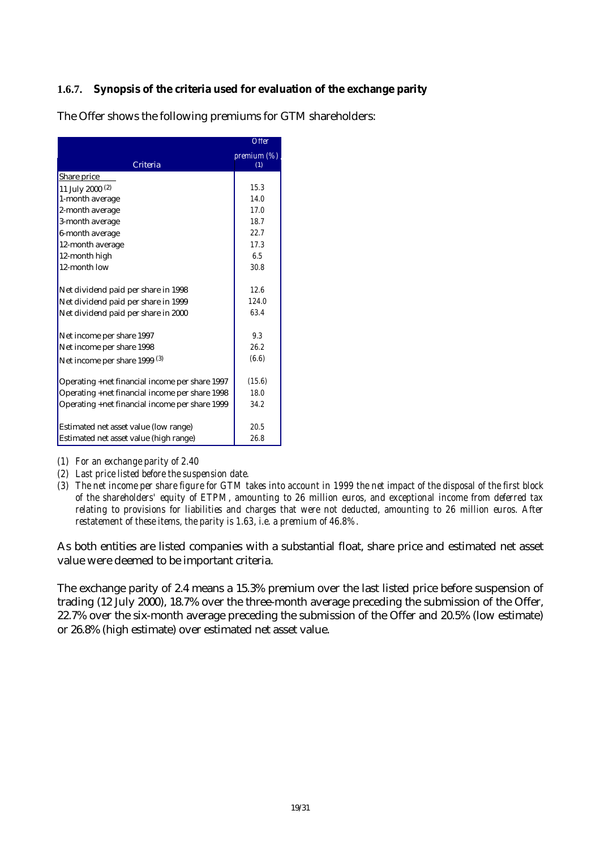## **1.6.7. Synopsis of the criteria used for evaluation of the exchange parity**

|                                                | <b>Offer</b> |
|------------------------------------------------|--------------|
|                                                | premium (%)  |
| Criteria                                       | (1)          |
| Share price                                    |              |
| 11 July 2000 (2)                               | 15.3         |
| 1-month average                                | 14.0         |
| 2-month average                                | 17.0         |
| 3-month average                                | 18.7         |
| 6-month average                                | 22.7         |
| 12-month average                               | 17.3         |
| 12-month high                                  | 6.5          |
| 12-month low                                   | 30.8         |
|                                                |              |
| Net dividend paid per share in 1998            | 12.6         |
| Net dividend paid per share in 1999            | 124.0        |
| Net dividend paid per share in 2000            | 63.4         |
|                                                |              |
| Net income per share 1997                      | 9.3          |
| Net income per share 1998                      | 26.2         |
| Net income per share 1999 <sup>(3)</sup>       | (6.6)        |
|                                                |              |
| Operating +net financial income per share 1997 | (15.6)       |
| Operating +net financial income per share 1998 | 18.0         |
| Operating +net financial income per share 1999 | 34.2         |
|                                                |              |
| Estimated net asset value (low range)          | 20.5         |
| Estimated net asset value (high range)         | 26.8         |

The Offer shows the following premiums for GTM shareholders:

- *(1) For an exchange parity of 2.40*
- *(2) Last price listed before the suspension date.*
- *(3) The net income per share figure for GTM takes into account in 1999 the net impact of the disposal of the first block of the shareholders' equity of ETPM, amounting to 26 million euros, and exceptional income from deferred tax relating to provisions for liabilities and charges that were not deducted, amounting to 26 million euros. After restatement of these items, the parity is 1.63, i.e. a premium of 46.8%.*

As both entities are listed companies with a substantial float, share price and estimated net asset value were deemed to be important criteria.

The exchange parity of 2.4 means a 15.3% premium over the last listed price before suspension of trading (12 July 2000), 18.7% over the three-month average preceding the submission of the Offer, 22.7% over the six-month average preceding the submission of the Offer and 20.5% (low estimate) or 26.8% (high estimate) over estimated net asset value.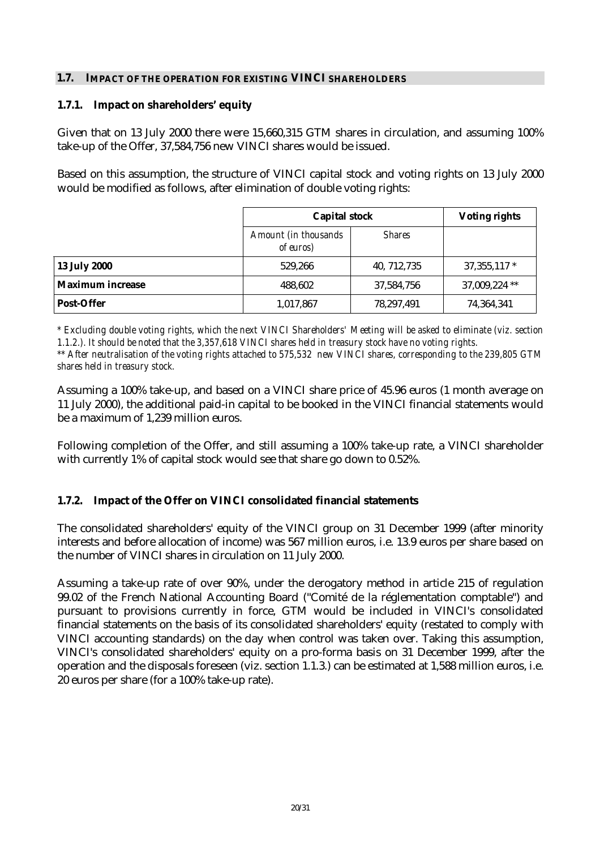#### **1.7. IMPACT OF THE OPERATION FOR EXISTING VINCI SHAREHOLDERS**

#### **1.7.1. Impact on shareholders' equity**

Given that on 13 July 2000 there were 15,660,315 GTM shares in circulation, and assuming 100% take-up of the Offer, 37,584,756 new VINCI shares would be issued.

Based on this assumption, the structure of VINCI capital stock and voting rights on 13 July 2000 would be modified as follows, after elimination of double voting rights:

|                     | <b>Capital stock</b>                      | <b>Voting rights</b> |               |
|---------------------|-------------------------------------------|----------------------|---------------|
|                     | Amount (in thousands<br><i>of euros</i> ) | <b>Shares</b>        |               |
| <b>13 July 2000</b> | 529.266                                   | 40, 712, 735         | $37,355,117*$ |
| Maximum increase    | 488,602                                   | 37,584,756           | 37,009,224 ** |
| <b>Post-Offer</b>   | 1,017,867                                 | 78,297,491           | 74,364,341    |

*\* Excluding double voting rights, which the next VINCI Shareholders' Meeting will be asked to eliminate (viz. section 1.1.2.). It should be noted that the 3,357,618 VINCI shares held in treasury stock have no voting rights.*

*\*\* After neutralisation of the voting rights attached to 575,532 new VINCI shares, corresponding to the 239,805 GTM shares held in treasury stock.*

Assuming a 100% take-up, and based on a VINCI share price of 45.96 euros (1 month average on 11 July 2000), the additional paid-in capital to be booked in the VINCI financial statements would be a maximum of 1,239 million euros.

Following completion of the Offer, and still assuming a 100% take-up rate, a VINCI shareholder with currently 1% of capital stock would see that share go down to 0.52%.

#### **1.7.2. Impact of the Offer on VINCI consolidated financial statements**

The consolidated shareholders' equity of the VINCI group on 31 December 1999 (after minority interests and before allocation of income) was 567 million euros, i.e. 13.9 euros per share based on the number of VINCI shares in circulation on 11 July 2000.

Assuming a take-up rate of over 90%, under the derogatory method in article 215 of regulation 99.02 of the French National Accounting Board ("Comité de la réglementation comptable") and pursuant to provisions currently in force, GTM would be included in VINCI's consolidated financial statements on the basis of its consolidated shareholders' equity (restated to comply with VINCI accounting standards) on the day when control was taken over. Taking this assumption, VINCI's consolidated shareholders' equity on a pro-forma basis on 31 December 1999, after the operation and the disposals foreseen (viz. section 1.1.3.) can be estimated at 1,588 million euros, i.e. 20 euros per share (for a 100% take-up rate).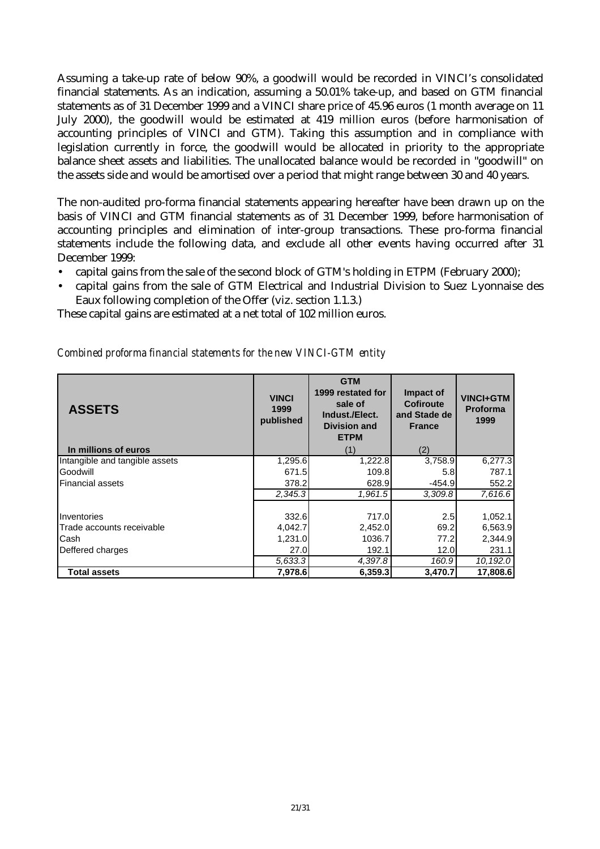Assuming a take-up rate of below 90%, a goodwill would be recorded in VINCI's consolidated financial statements. As an indication, assuming a 50.01% take-up, and based on GTM financial statements as of 31 December 1999 and a VINCI share price of 45.96 euros (1 month average on 11 July 2000), the goodwill would be estimated at 419 million euros (before harmonisation of accounting principles of VINCI and GTM). Taking this assumption and in compliance with legislation currently in force, the goodwill would be allocated in priority to the appropriate balance sheet assets and liabilities. The unallocated balance would be recorded in "goodwill" on the assets side and would be amortised over a period that might range between 30 and 40 years.

The non-audited pro-forma financial statements appearing hereafter have been drawn up on the basis of VINCI and GTM financial statements as of 31 December 1999, before harmonisation of accounting principles and elimination of inter-group transactions. These pro-forma financial statements include the following data, and exclude all other events having occurred after 31 December 1999:

- capital gains from the sale of the second block of GTM's holding in ETPM (February 2000);
- capital gains from the sale of GTM Electrical and Industrial Division to Suez Lyonnaise des Eaux following completion of the Offer (viz. section 1.1.3.)

These capital gains are estimated at a net total of 102 million euros.

| <b>ASSETS</b>                  | <b>VINCI</b><br>1999<br>published | <b>GTM</b><br>1999 restated for<br>sale of<br>Indust./Elect.<br><b>Division and</b><br><b>ETPM</b> | Impact of<br><b>Cofiroute</b><br>and Stade de<br><b>France</b> | <b>VINCI+GTM</b><br><b>Proforma</b><br>1999 |
|--------------------------------|-----------------------------------|----------------------------------------------------------------------------------------------------|----------------------------------------------------------------|---------------------------------------------|
| In millions of euros           |                                   | (1)                                                                                                | (2)                                                            |                                             |
| Intangible and tangible assets | 1,295.6                           | 1,222.8                                                                                            | 3,758.9                                                        | 6,277.3                                     |
| Goodwill                       | 671.5                             | 109.8                                                                                              | 5.8                                                            | 787.1                                       |
| <b>Financial assets</b>        | 378.2                             | 628.9                                                                                              | $-454.9$                                                       | 552.2                                       |
|                                | 2,345.3                           | 1,961.5                                                                                            | 3,309.8                                                        | 7,616.6                                     |
| Inventories                    | 332.6                             | 717.0                                                                                              | 2.5                                                            | 1,052.1                                     |
| Trade accounts receivable      | 4,042.7                           | 2,452.0                                                                                            | 69.2                                                           | 6,563.9                                     |
| Cash                           | 1,231.0                           | 1036.7                                                                                             | 77.2                                                           | 2,344.9                                     |
| Deffered charges               | 27.0                              | 192.1                                                                                              | 12.0                                                           | 231.1                                       |
|                                | 5.633.3                           | 4,397.8                                                                                            | 160.9                                                          | 10,192.0                                    |
| Total assets                   | 7,978.6                           | 6,359.3                                                                                            | 3,470.7                                                        | 17,808.6                                    |

*Combined proforma financial statements for the new VINCI-GTM entity*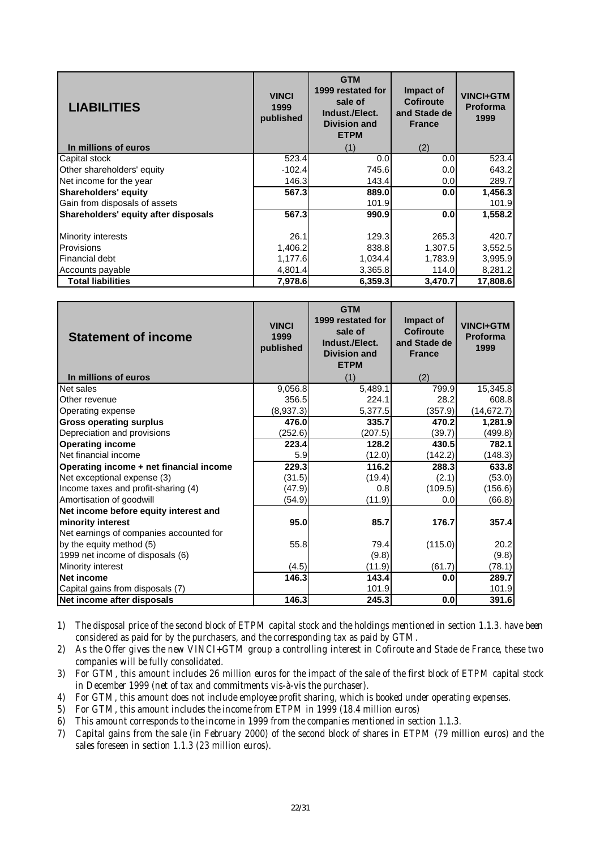| <b>LIABILITIES</b>                   | <b>VINCI</b><br>1999<br>published | <b>GTM</b><br>1999 restated for<br>sale of<br>Indust./Elect.<br><b>Division and</b><br><b>ETPM</b> | Impact of<br>Cofiroute<br>and Stade de<br><b>France</b> | <b>VINCI+GTM</b><br><b>Proforma</b><br>1999 |
|--------------------------------------|-----------------------------------|----------------------------------------------------------------------------------------------------|---------------------------------------------------------|---------------------------------------------|
| In millions of euros                 |                                   | (1)                                                                                                | (2)                                                     |                                             |
| Capital stock                        | 523.4                             | 0.0                                                                                                | 0.0                                                     | 523.4                                       |
| Other shareholders' equity           | $-102.4$                          | 745.6                                                                                              | 0.0                                                     | 643.2                                       |
| Net income for the year              | 146.3                             | 143.4                                                                                              | 0.0                                                     | 289.7                                       |
| Shareholders' equity                 | 567.3                             | 889.0                                                                                              | 0.0                                                     | 1,456.3                                     |
| Gain from disposals of assets        |                                   | 101.9                                                                                              |                                                         | 101.9                                       |
| Shareholders' equity after disposals | 567.3                             | 990.9                                                                                              | 0.0                                                     | 1,558.2                                     |
|                                      |                                   |                                                                                                    |                                                         |                                             |
| <b>Minority interests</b>            | 26.1                              | 129.3                                                                                              | 265.3                                                   | 420.7                                       |
| <b>Provisions</b>                    | 1,406.2                           | 838.8                                                                                              | 1.307.5                                                 | 3,552.5                                     |
| Financial debt                       | 1,177.6                           | 1,034.4                                                                                            | 1,783.9                                                 | 3,995.9                                     |
| Accounts payable                     | 4,801.4                           | 3,365.8                                                                                            | 114.0                                                   | 8,281.2                                     |
| <b>Total liabilities</b>             | 7,978.6                           | 6,359.3                                                                                            | 3,470.7                                                 | 17,808.6                                    |

| <b>Statement of income</b><br>In millions of euros | <b>VINCI</b><br>1999<br>published | <b>GTM</b><br>1999 restated for<br>sale of<br>Indust./Elect.<br><b>Division and</b><br><b>ETPM</b><br>(1) | Impact of<br><b>Cofiroute</b><br>and Stade de<br><b>France</b><br>(2) | <b>VINCI+GTM</b><br>Proforma<br>1999 |
|----------------------------------------------------|-----------------------------------|-----------------------------------------------------------------------------------------------------------|-----------------------------------------------------------------------|--------------------------------------|
| Net sales                                          | 9,056.8                           | 5,489.1                                                                                                   | 799.9                                                                 | 15,345.8                             |
| Other revenue                                      | 356.5                             | 224.1                                                                                                     | 28.2                                                                  | 608.8                                |
| Operating expense                                  | (8,937.3)                         | 5,377.5                                                                                                   | (357.9)                                                               | (14, 672.7)                          |
| <b>Gross operating surplus</b>                     | 476.0                             | 335.7                                                                                                     | 470.2                                                                 | 1,281.9                              |
| Depreciation and provisions                        | (252.6)                           | (207.5)                                                                                                   | (39.7)                                                                | (499.8)                              |
| <b>Operating income</b>                            | 223.4                             | 128.2                                                                                                     | 430.5                                                                 | 782.1                                |
| Net financial income                               | 5.9                               | (12.0)                                                                                                    | (142.2)                                                               | (148.3)                              |
| Operating income + net financial income            | 229.3                             | 116.2                                                                                                     | 288.3                                                                 | 633.8                                |
| Net exceptional expense (3)                        | (31.5)                            | (19.4)                                                                                                    | (2.1)                                                                 | (53.0)                               |
| Income taxes and profit-sharing (4)                | (47.9)                            | 0.8                                                                                                       | (109.5)                                                               | (156.6)                              |
| Amortisation of goodwill                           | (54.9)                            | (11.9)                                                                                                    | 0.0                                                                   | (66.8)                               |
| Net income before equity interest and              |                                   |                                                                                                           |                                                                       |                                      |
| minority interest                                  | 95.0                              | 85.7                                                                                                      | 176.7                                                                 | 357.4                                |
| Net earnings of companies accounted for            |                                   |                                                                                                           |                                                                       |                                      |
| by the equity method (5)                           | 55.8                              | 79.4                                                                                                      | (115.0)                                                               | 20.2                                 |
| 1999 net income of disposals (6)                   |                                   | (9.8)                                                                                                     |                                                                       | (9.8)                                |
| Minority interest                                  | (4.5)                             | (11.9)                                                                                                    | (61.7)                                                                | (78.1)                               |
| Net income                                         | 146.3                             | 143.4                                                                                                     | 0.0                                                                   | 289.7                                |
| Capital gains from disposals (7)                   |                                   | 101.9                                                                                                     |                                                                       | 101.9                                |
| Net income after disposals                         | 146.3                             | 245.3                                                                                                     | 0.0                                                                   | 391.6                                |

*1) The disposal price of the second block of ETPM capital stock and the holdings mentioned in section 1.1.3. have been considered as paid for by the purchasers, and the corresponding tax as paid by GTM.*

- *2) As the Offer gives the new VINCI+GTM group a controlling interest in Cofiroute and Stade de France, these two companies will be fully consolidated.*
- *3) For GTM, this amount includes 26 million euros for the impact of the sale of the first block of ETPM capital stock in December 1999 (net of tax and commitments vis-à-vis the purchaser).*
- *4) For GTM, this amount does not include employee profit sharing, which is booked under operating expenses.*
- *5) For GTM, this amount includes the income from ETPM in 1999 (18.4 million euros)*
- *6) This amount corresponds to the income in 1999 from the companies mentioned in section 1.1.3.*
- *7) Capital gains from the sale (in February 2000) of the second block of shares in ETPM (79 million euros) and the sales foreseen in section 1.1.3 (23 million euros).*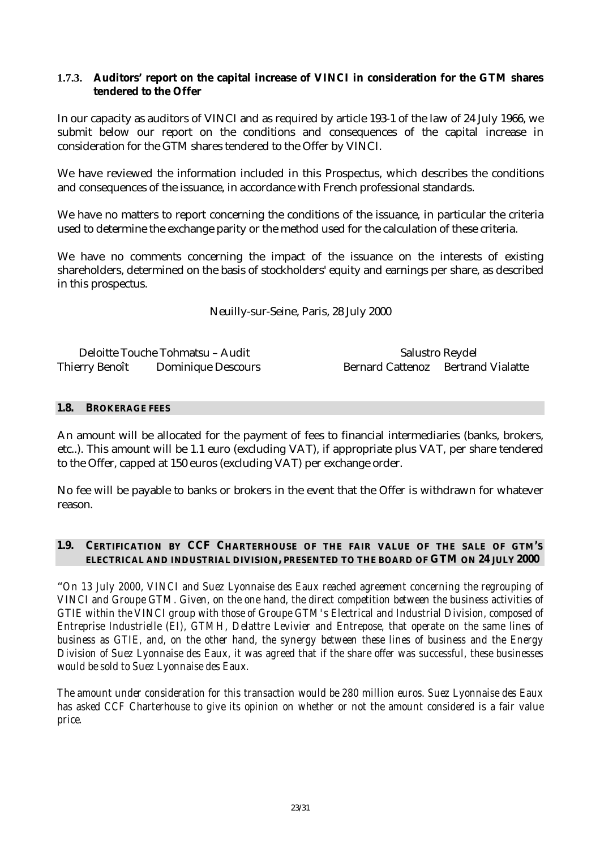#### **1.7.3. Auditors' report on the capital increase of VINCI in consideration for the GTM shares tendered to the Offer**

In our capacity as auditors of VINCI and as required by article 193-1 of the law of 24 July 1966, we submit below our report on the conditions and consequences of the capital increase in consideration for the GTM shares tendered to the Offer by VINCI.

We have reviewed the information included in this Prospectus, which describes the conditions and consequences of the issuance, in accordance with French professional standards.

We have no matters to report concerning the conditions of the issuance, in particular the criteria used to determine the exchange parity or the method used for the calculation of these criteria.

We have no comments concerning the impact of the issuance on the interests of existing shareholders, determined on the basis of stockholders' equity and earnings per share, as described in this prospectus.

Neuilly-sur-Seine, Paris, 28 July 2000

Deloitte Touche Tohmatsu – Audit Salustro Reydel Thierry Benoît Dominique Descours Bernard Cattenoz Bertrand Vialatte

#### **1.8. BROKERAGE FEES**

An amount will be allocated for the payment of fees to financial intermediaries (banks, brokers, etc..). This amount will be 1.1 euro (excluding VAT), if appropriate plus VAT, per share tendered to the Offer, capped at 150 euros (excluding VAT) per exchange order.

No fee will be payable to banks or brokers in the event that the Offer is withdrawn for whatever reason.

#### **1.9. CERTIFICATION BY CCF CHARTERHOUSE OF THE FAIR VALUE OF THE SALE OF GTM'S ELECTRICAL AND INDUSTRIAL DIVISION, PRESENTED TO THE BOARD OF GTM ON 24 JULY 2000**

"*On 13 July 2000, VINCI and Suez Lyonnaise des Eaux reached agreement concerning the regrouping of VINCI and Groupe GTM. Given, on the one hand, the direct competition between the business activities of GTIE within the VINCI group with those of Groupe GTM's Electrical and Industrial Division, composed of Entreprise Industrielle (EI), GTMH, Delattre Levivier and Entrepose, that operate on the same lines of business as GTIE, and, on the other hand, the synergy between these lines of business and the Energy Division of Suez Lyonnaise des Eaux, it was agreed that if the share offer was successful, these businesses would be sold to Suez Lyonnaise des Eaux.*

*The amount under consideration for this transaction would be 280 million euros. Suez Lyonnaise des Eaux has asked CCF Charterhouse to give its opinion on whether or not the amount considered is a fair value price.*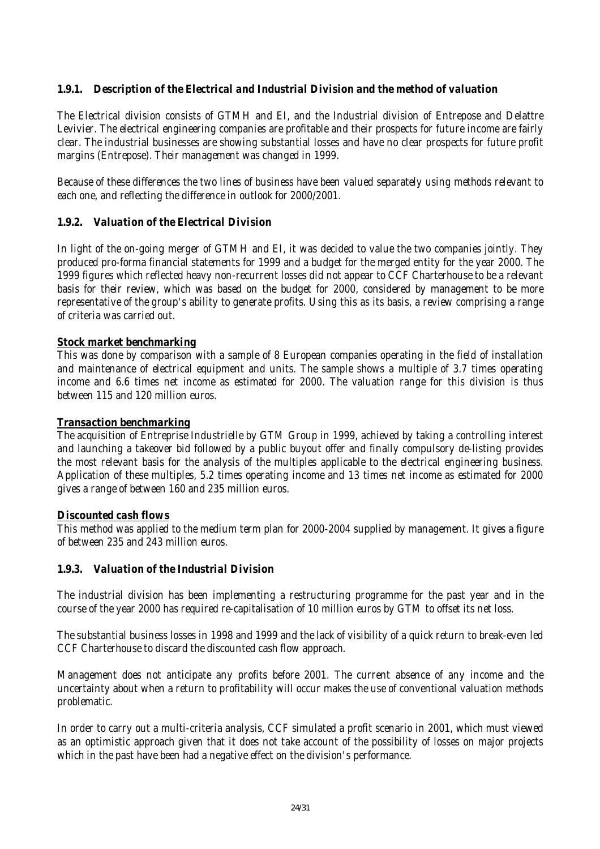## *1.9.1. Description of the Electrical and Industrial Division and the method of valuation*

*The Electrical division consists of GTMH and EI, and the Industrial division of Entrepose and Delattre Levivier. The electrical engineering companies are profitable and their prospects for future income are fairly clear. The industrial businesses are showing substantial losses and have no clear prospects for future profit margins (Entrepose). Their management was changed in 1999.*

*Because of these differences the two lines of business have been valued separately using methods relevant to each one, and reflecting the difference in outlook for 2000/2001.*

#### *1.9.2. Valuation of the Electrical Division*

*In light of the on-going merger of GTMH and EI, it was decided to value the two companies jointly. They produced pro-forma financial statements for 1999 and a budget for the merged entity for the year 2000. The 1999 figures which reflected heavy non-recurrent losses did not appear to CCF Charterhouse to be a relevant basis for their review, which was based on the budget for 2000, considered by management to be more representative of the group's ability to generate profits. Using this as its basis, a review comprising a range of criteria was carried out.*

#### *Stock market benchmarking*

*This was done by comparison with a sample of 8 European companies operating in the field of installation and maintenance of electrical equipment and units. The sample shows a multiple of 3.7 times operating income and 6.6 times net income as estimated for 2000. The valuation range for this division is thus between 115 and 120 million euros.*

#### *Transaction benchmarking*

*The acquisition of Entreprise Industrielle by GTM Group in 1999, achieved by taking a controlling interest and launching a takeover bid followed by a public buyout offer and finally compulsory de-listing provides the most relevant basis for the analysis of the multiples applicable to the electrical engineering business. Application of these multiples, 5.2 times operating income and 13 times net income as estimated for 2000 gives a range of between 160 and 235 million euros.*

#### *Discounted cash flows*

*This method was applied to the medium term plan for 2000-2004 supplied by management. It gives a figure of between 235 and 243 million euros.*

#### *1.9.3. Valuation of the Industrial Division*

*The industrial division has been implementing a restructuring programme for the past year and in the course of the year 2000 has required re-capitalisation of 10 million euros by GTM to offset its net loss.*

*The substantial business losses in 1998 and 1999 and the lack of visibility of a quick return to break-even led CCF Charterhouse to discard the discounted cash flow approach.*

*Management does not anticipate any profits before 2001. The current absence of any income and the uncertainty about when a return to profitability will occur makes the use of conventional valuation methods problematic.*

*In order to carry out a multi-criteria analysis, CCF simulated a profit scenario in 2001, which must viewed as an optimistic approach given that it does not take account of the possibility of losses on major projects which in the past have been had a negative effect on the division's performance.*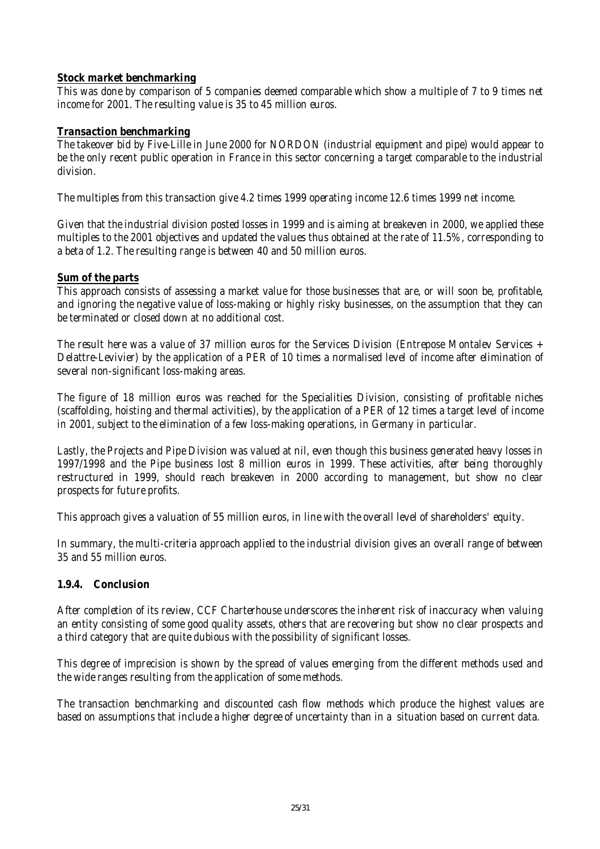## *Stock market benchmarking*

*This was done by comparison of 5 companies deemed comparable which show a multiple of 7 to 9 times net income for 2001. The resulting value is 35 to 45 million euros.*

#### *Transaction benchmarking*

*The takeover bid by Five-Lille in June 2000 for NORDON (industrial equipment and pipe) would appear to be the only recent public operation in France in this sector concerning a target comparable to the industrial division.*

*The multiples from this transaction give 4.2 times 1999 operating income 12.6 times 1999 net income.*

*Given that the industrial division posted losses in 1999 and is aiming at breakeven in 2000, we applied these multiples to the 2001 objectives and updated the values thus obtained at the rate of 11.5%, corresponding to a beta of 1.2. The resulting range is between 40 and 50 million euros.*

#### *Sum of the parts*

*This approach consists of assessing a market value for those businesses that are, or will soon be, profitable, and ignoring the negative value of loss-making or highly risky businesses, on the assumption that they can be terminated or closed down at no additional cost.*

*The result here was a value of 37 million euros for the Services Division (Entrepose Montalev Services + Delattre-Levivier) by the application of a PER of 10 times a normalised level of income after elimination of several non-significant loss-making areas.*

*The figure of 18 million euros was reached for the Specialities Division, consisting of profitable niches (scaffolding, hoisting and thermal activities), by the application of a PER of 12 times a target level of income in 2001, subject to the elimination of a few loss-making operations, in Germany in particular.*

*Lastly, the Projects and Pipe Division was valued at nil, even though this business generated heavy losses in 1997/1998 and the Pipe business lost 8 million euros in 1999. These activities, after being thoroughly restructured in 1999, should reach breakeven in 2000 according to management, but show no clear prospects for future profits.*

*This approach gives a valuation of 55 million euros, in line with the overall level of shareholders' equity.*

*In summary, the multi-criteria approach applied to the industrial division gives an overall range of between 35 and 55 million euros.*

## *1.9.4. Conclusion*

*After completion of its review, CCF Charterhouse underscores the inherent risk of inaccuracy when valuing an entity consisting of some good quality assets, others that are recovering but show no clear prospects and a third category that are quite dubious with the possibility of significant losses.*

*This degree of imprecision is shown by the spread of values emerging from the different methods used and the wide ranges resulting from the application of some methods.*

*The transaction benchmarking and discounted cash flow methods which produce the highest values are based on assumptions that include a higher degree of uncertainty than in a situation based on current data.*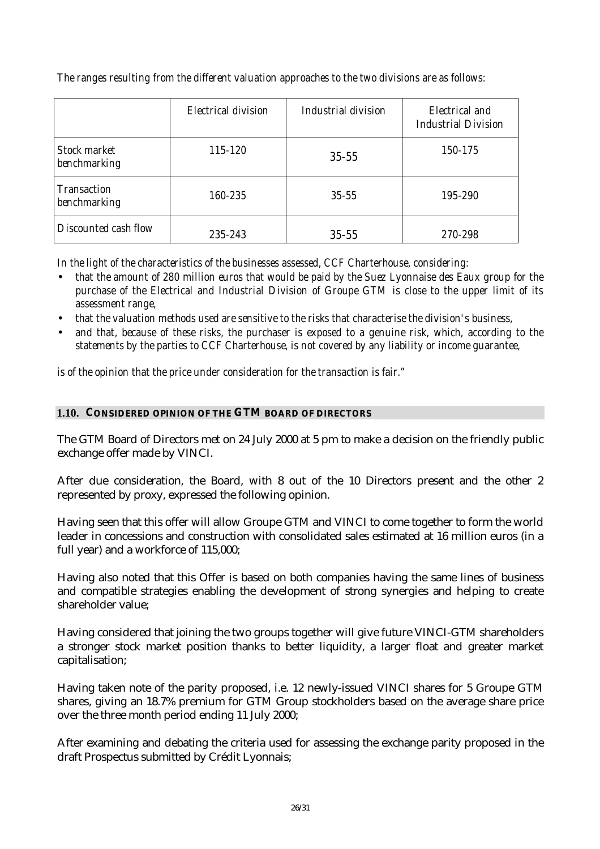|                                     | <b>Electrical division</b> | Industrial division | Electrical and<br><b>Industrial Division</b> |
|-------------------------------------|----------------------------|---------------------|----------------------------------------------|
| <b>Stock market</b><br>benchmarking | 115-120                    | $35 - 55$           | 150-175                                      |
| <b>Transaction</b><br>benchmarking  | 160-235                    | $35 - 55$           | 195-290                                      |
| Discounted cash flow                | 235-243                    | $35 - 55$           | 270-298                                      |

*The ranges resulting from the different valuation approaches to the two divisions are as follows:*

*In the light of the characteristics of the businesses assessed, CCF Charterhouse, considering:*

- *that the amount of 280 million euros that would be paid by the Suez Lyonnaise des Eaux group for the purchase of the Electrical and Industrial Division of Groupe GTM is close to the upper limit of its assessment range,*
- *that the valuation methods used are sensitive to the risks that characterise the division's business,*
- *and that, because of these risks, the purchaser is exposed to a genuine risk, which, according to the statements by the parties to CCF Charterhouse, is not covered by any liability or income guarantee,*

*is of the opinion that the price under consideration for the transaction is fair."*

## **1.10. CONSIDERED OPINION OF THE GTM BOARD OF DIRECTORS**

The GTM Board of Directors met on 24 July 2000 at 5 pm to make a decision on the friendly public exchange offer made by VINCI.

After due consideration, the Board, with 8 out of the 10 Directors present and the other 2 represented by proxy, expressed the following opinion.

Having seen that this offer will allow Groupe GTM and VINCI to come together to form the world leader in concessions and construction with consolidated sales estimated at 16 million euros (in a full year) and a workforce of 115,000;

Having also noted that this Offer is based on both companies having the same lines of business and compatible strategies enabling the development of strong synergies and helping to create shareholder value;

Having considered that joining the two groups together will give future VINCI-GTM shareholders a stronger stock market position thanks to better liquidity, a larger float and greater market capitalisation;

Having taken note of the parity proposed, i.e. 12 newly-issued VINCI shares for 5 Groupe GTM shares, giving an 18.7% premium for GTM Group stockholders based on the average share price over the three month period ending 11 July 2000;

After examining and debating the criteria used for assessing the exchange parity proposed in the draft Prospectus submitted by Crédit Lyonnais;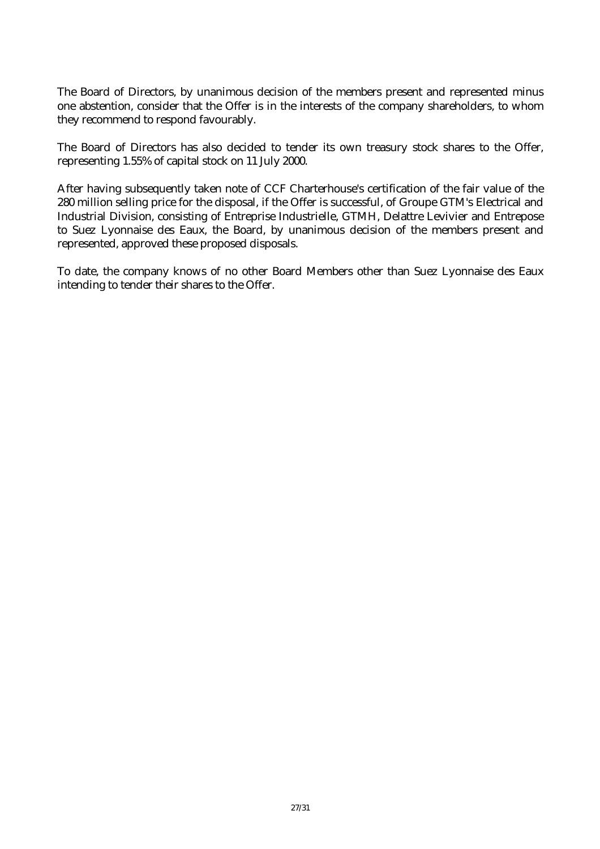The Board of Directors, by unanimous decision of the members present and represented minus one abstention, consider that the Offer is in the interests of the company shareholders, to whom they recommend to respond favourably.

The Board of Directors has also decided to tender its own treasury stock shares to the Offer, representing 1.55% of capital stock on 11 July 2000.

After having subsequently taken note of CCF Charterhouse's certification of the fair value of the 280 million selling price for the disposal, if the Offer is successful, of Groupe GTM's Electrical and Industrial Division, consisting of Entreprise Industrielle, GTMH, Delattre Levivier and Entrepose to Suez Lyonnaise des Eaux, the Board, by unanimous decision of the members present and represented, approved these proposed disposals.

To date, the company knows of no other Board Members other than Suez Lyonnaise des Eaux intending to tender their shares to the Offer.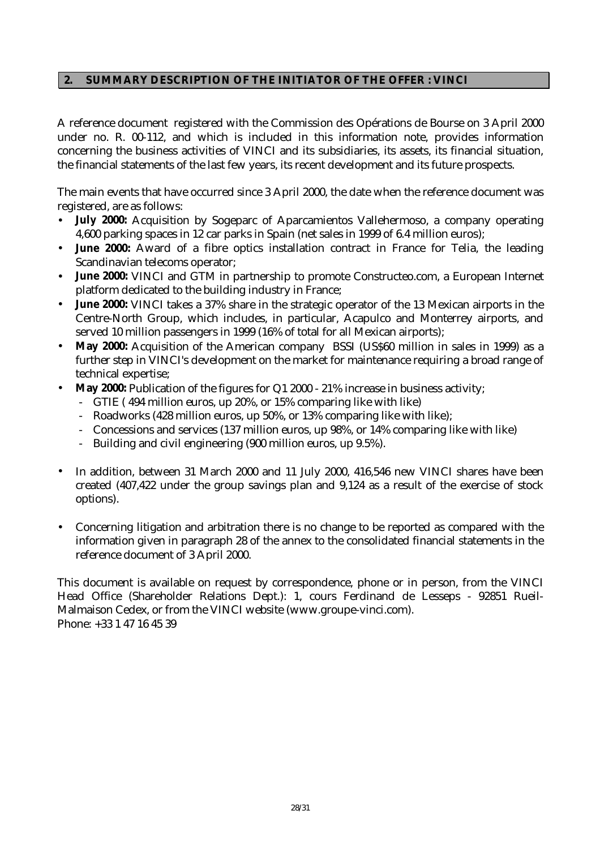## **2. SUMMARY DESCRIPTION OF THE INITIATOR OF THE OFFER : VINCI**

A reference document registered with the Commission des Opérations de Bourse on 3 April 2000 under no. R. 00-112, and which is included in this information note, provides information concerning the business activities of VINCI and its subsidiaries, its assets, its financial situation, the financial statements of the last few years, its recent development and its future prospects.

The main events that have occurred since 3 April 2000, the date when the reference document was registered, are as follows:

- **July 2000:** Acquisition by Sogeparc of Aparcamientos Vallehermoso, a company operating 4,600 parking spaces in 12 car parks in Spain (net sales in 1999 of 6.4 million euros);
- **June 2000:** Award of a fibre optics installation contract in France for Telia, the leading Scandinavian telecoms operator;
- **June 2000:** VINCI and GTM in partnership to promote Constructeo.com, a European Internet platform dedicated to the building industry in France;
- **June 2000:** VINCI takes a 37% share in the strategic operator of the 13 Mexican airports in the Centre-North Group, which includes, in particular, Acapulco and Monterrey airports, and served 10 million passengers in 1999 (16% of total for all Mexican airports);
- **May 2000:** Acquisition of the American company BSSI (US\$60 million in sales in 1999) as a further step in VINCI's development on the market for maintenance requiring a broad range of technical expertise;
- **May 2000:** Publication of the figures for Q1 2000 21% increase in business activity;
	- GTIE ( 494 million euros, up 20%, or 15% comparing like with like)
	- Roadworks (428 million euros, up 50%, or 13% comparing like with like);
	- Concessions and services (137 million euros, up 98%, or 14% comparing like with like)
	- Building and civil engineering (900 million euros, up 9.5%).
- In addition, between 31 March 2000 and 11 July 2000, 416,546 new VINCI shares have been created (407,422 under the group savings plan and 9,124 as a result of the exercise of stock options).
- Concerning litigation and arbitration there is no change to be reported as compared with the information given in paragraph 28 of the annex to the consolidated financial statements in the reference document of 3 April 2000.

This document is available on request by correspondence, phone or in person, from the VINCI Head Office (Shareholder Relations Dept.): 1, cours Ferdinand de Lesseps - 92851 Rueil-Malmaison Cedex, or from the VINCI website (www.groupe-vinci.com). Phone: +33 1 47 16 45 39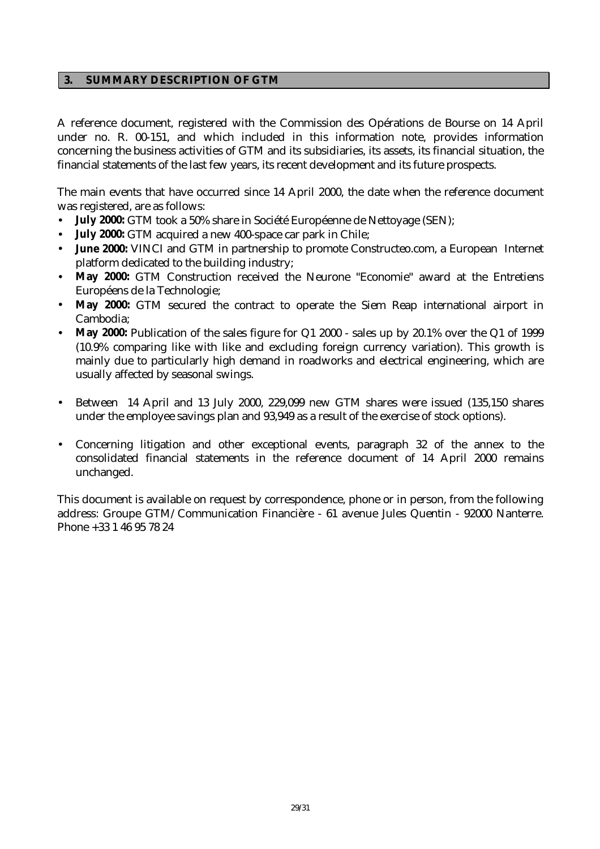#### **3. SUMMARY DESCRIPTION OF GTM**

A reference document, registered with the Commission des Opérations de Bourse on 14 April under no. R. 00-151, and which included in this information note, provides information concerning the business activities of GTM and its subsidiaries, its assets, its financial situation, the financial statements of the last few years, its recent development and its future prospects.

The main events that have occurred since 14 April 2000, the date when the reference document was registered, are as follows:

- **July 2000:** GTM took a 50% share in Société Européenne de Nettoyage (SEN);
- **July 2000:** GTM acquired a new 400-space car park in Chile;
- **June 2000:** VINCI and GTM in partnership to promote Constructeo.com, a European Internet platform dedicated to the building industry;
- **May 2000:** GTM Construction received the Neurone "Economie" award at the Entretiens Européens de la Technologie;
- May 2000: GTM secured the contract to operate the Siem Reap international airport in Cambodia;
- May 2000: Publication of the sales figure for Q1 2000 sales up by 20.1% over the Q1 of 1999 (10.9% comparing like with like and excluding foreign currency variation). This growth is mainly due to particularly high demand in roadworks and electrical engineering, which are usually affected by seasonal swings.
- Between 14 April and 13 July 2000, 229,099 new GTM shares were issued (135,150 shares under the employee savings plan and 93,949 as a result of the exercise of stock options).
- Concerning litigation and other exceptional events, paragraph 32 of the annex to the consolidated financial statements in the reference document of 14 April 2000 remains unchanged.

This document is available on request by correspondence, phone or in person, from the following address: Groupe GTM/Communication Financière - 61 avenue Jules Quentin - 92000 Nanterre. Phone +33 1 46 95 78 24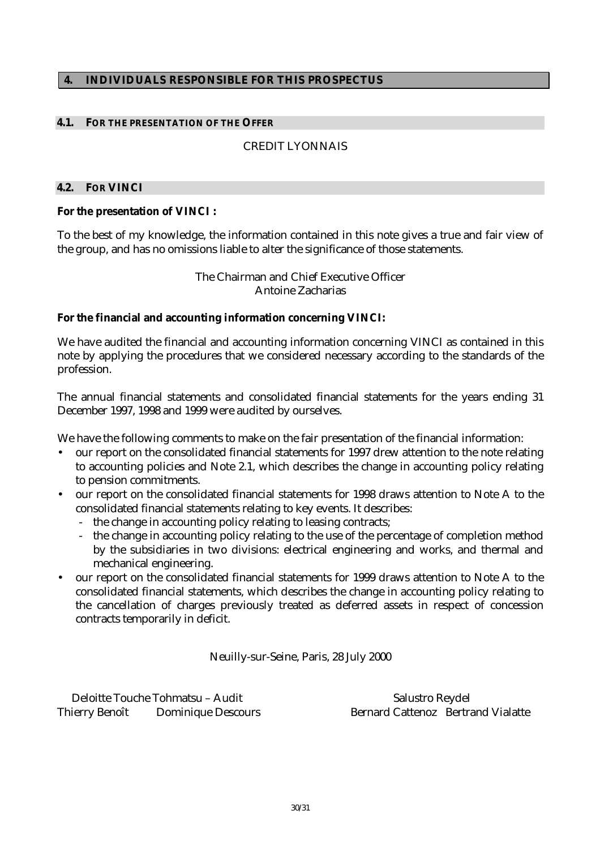#### **4. INDIVIDUALS RESPONSIBLE FOR THIS PROSPECTUS**

#### **4.1. FOR THE PRESENTATION OF THE OFFER**

#### CREDIT LYONNAIS

#### **4.2. FOR VINCI**

#### **For the presentation of VINCI :**

To the best of my knowledge, the information contained in this note gives a true and fair view of the group, and has no omissions liable to alter the significance of those statements.

> The Chairman and Chief Executive Officer Antoine Zacharias

#### **For the financial and accounting information concerning VINCI:**

We have audited the financial and accounting information concerning VINCI as contained in this note by applying the procedures that we considered necessary according to the standards of the profession.

The annual financial statements and consolidated financial statements for the years ending 31 December 1997, 1998 and 1999 were audited by ourselves.

We have the following comments to make on the fair presentation of the financial information:

- our report on the consolidated financial statements for 1997 drew attention to the note relating to accounting policies and Note 2.1, which describes the change in accounting policy relating to pension commitments.
- our report on the consolidated financial statements for 1998 draws attention to Note A to the consolidated financial statements relating to key events. It describes:
	- the change in accounting policy relating to leasing contracts;
	- the change in accounting policy relating to the use of the percentage of completion method by the subsidiaries in two divisions: electrical engineering and works, and thermal and mechanical engineering.
- our report on the consolidated financial statements for 1999 draws attention to Note A to the consolidated financial statements, which describes the change in accounting policy relating to the cancellation of charges previously treated as deferred assets in respect of concession contracts temporarily in deficit.

Neuilly-sur-Seine, Paris, 28 July 2000

Deloitte Touche Tohmatsu – Audit Salustro Reydel Thierry Benoît Dominique Descours Bernard Cattenoz Bertrand Vialatte